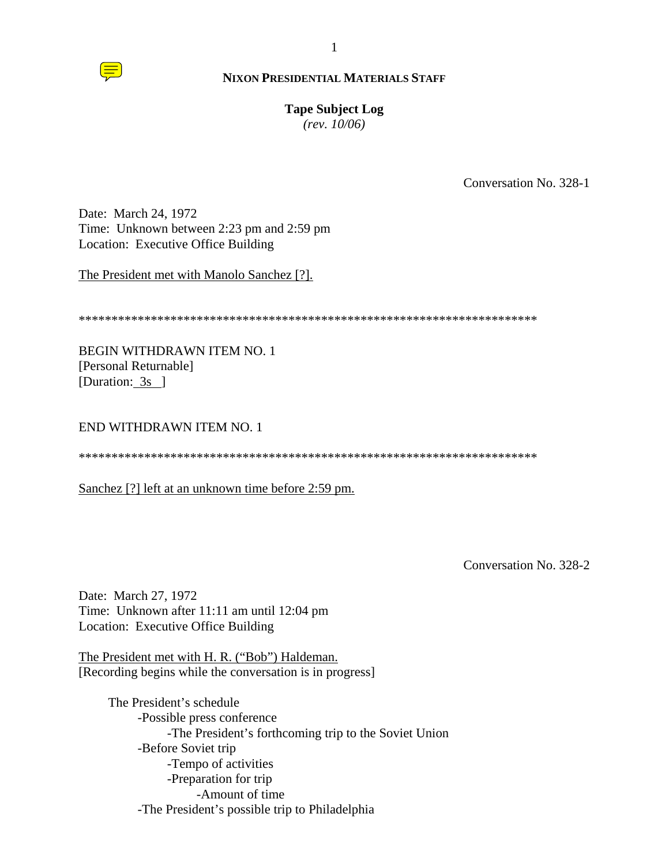

#### **Tape Subject Log**

*(rev. 10/06)*

Conversation No. 328-1

Date: March 24, 1972 Time: Unknown between 2:23 pm and 2:59 pm Location: Executive Office Building

The President met with Manolo Sanchez [?].

\*\*\*\*\*\*\*\*\*\*\*\*\*\*\*\*\*\*\*\*\*\*\*\*\*\*\*\*\*\*\*\*\*\*\*\*\*\*\*\*\*\*\*\*\*\*\*\*\*\*\*\*\*\*\*\*\*\*\*\*\*\*\*\*\*\*\*\*\*\*

BEGIN WITHDRAWN ITEM NO. 1 [Personal Returnable] [Duration: 3s ]

END WITHDRAWN ITEM NO. 1

\*\*\*\*\*\*\*\*\*\*\*\*\*\*\*\*\*\*\*\*\*\*\*\*\*\*\*\*\*\*\*\*\*\*\*\*\*\*\*\*\*\*\*\*\*\*\*\*\*\*\*\*\*\*\*\*\*\*\*\*\*\*\*\*\*\*\*\*\*\*

Sanchez [?] left at an unknown time before 2:59 pm.

Conversation No. 328-2

Date: March 27, 1972 Time: Unknown after 11:11 am until 12:04 pm Location: Executive Office Building

The President met with H. R. ("Bob") Haldeman. [Recording begins while the conversation is in progress]

The President's schedule -Possible press conference -The President's forthcoming trip to the Soviet Union -Before Soviet trip -Tempo of activities -Preparation for trip -Amount of time -The President's possible trip to Philadelphia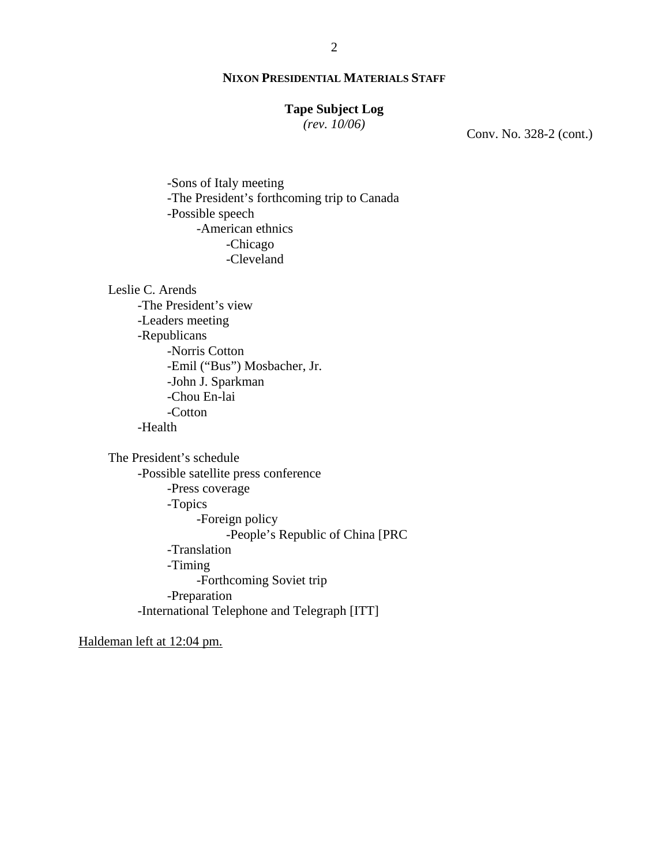## **Tape Subject Log**

*(rev. 10/06)*

Conv. No. 328-2 (cont.)

-Sons of Italy meeting -The President's forthcoming trip to Canada -Possible speech -American ethnics -Chicago -Cleveland

Leslie C. Arends

-The President's view -Leaders meeting -Republicans -Norris Cotton -Emil ("Bus") Mosbacher, Jr. -John J. Sparkman -Chou En-lai -Cotton -Health

The President's schedule -Possible satellite press conference -Press coverage -Topics -Foreign policy -People's Republic of China [PRC -Translation -Timing -Forthcoming Soviet trip -Preparation -International Telephone and Telegraph [ITT]

Haldeman left at 12:04 pm.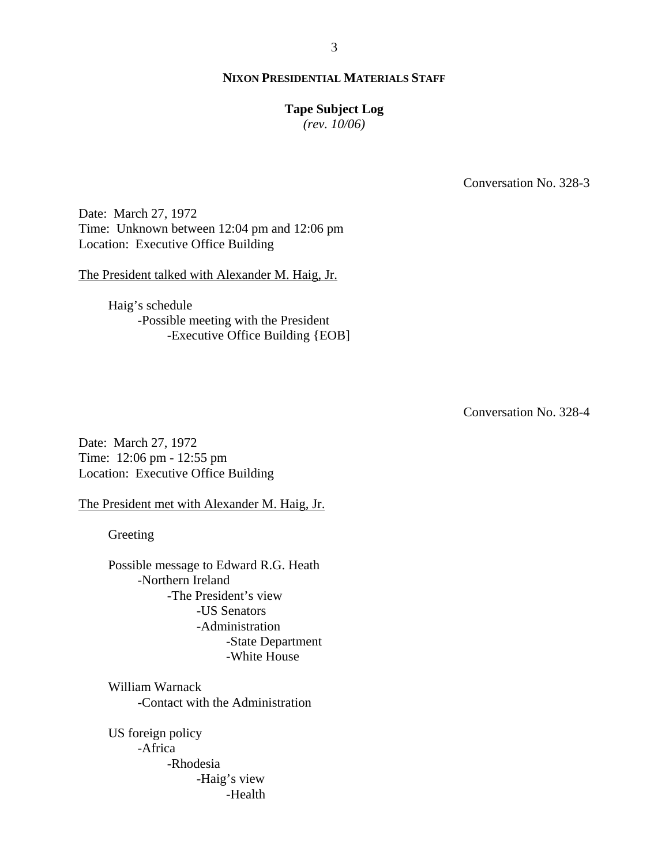## **Tape Subject Log**

*(rev. 10/06)*

Conversation No. 328-3

Date: March 27, 1972 Time: Unknown between 12:04 pm and 12:06 pm Location: Executive Office Building

The President talked with Alexander M. Haig, Jr.

Haig's schedule -Possible meeting with the President -Executive Office Building {EOB]

Conversation No. 328-4

Date: March 27, 1972 Time: 12:06 pm - 12:55 pm Location: Executive Office Building

The President met with Alexander M. Haig, Jr.

Greeting

Possible message to Edward R.G. Heath -Northern Ireland -The President's view -US Senators -Administration -State Department -White House

William Warnack -Contact with the Administration

US foreign policy -Africa -Rhodesia -Haig's view -Health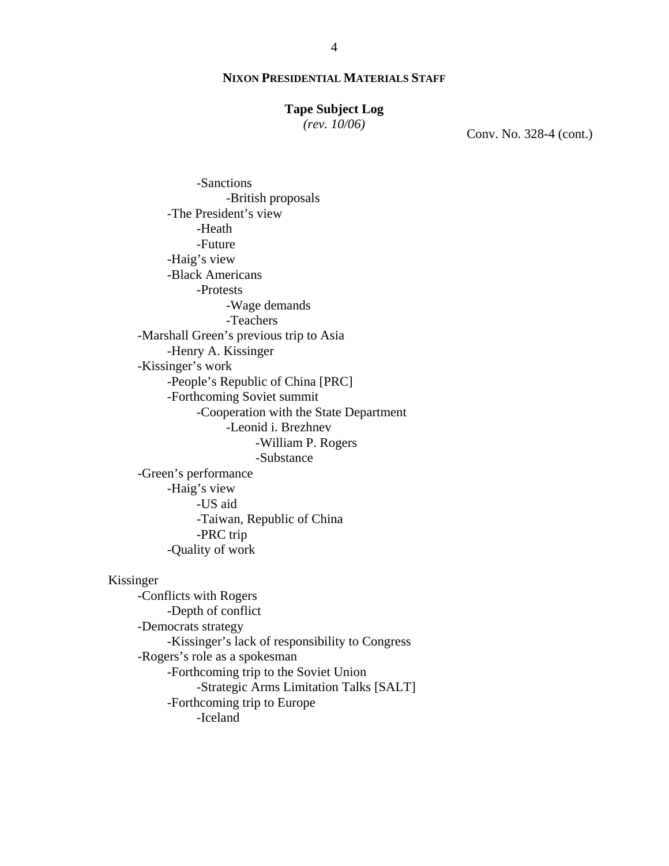#### **Tape Subject Log**

*(rev. 10/06)*

Conv. No. 328-4 (cont.)

-Sanctions -British proposals -The President's view -Heath -Future -Haig's view -Black Americans -Protests -Wage demands -Teachers -Marshall Green's previous trip to Asia -Henry A. Kissinger -Kissinger's work -People's Republic of China [PRC] -Forthcoming Soviet summit -Cooperation with the State Department -Leonid i. Brezhnev -William P. Rogers -Substance -Green's performance -Haig's view -US aid -Taiwan, Republic of China -PRC trip -Quality of work

# Kissinger

-Conflicts with Rogers -Depth of conflict -Democrats strategy -Kissinger's lack of responsibility to Congress -Rogers's role as a spokesman -Forthcoming trip to the Soviet Union -Strategic Arms Limitation Talks [SALT] -Forthcoming trip to Europe -Iceland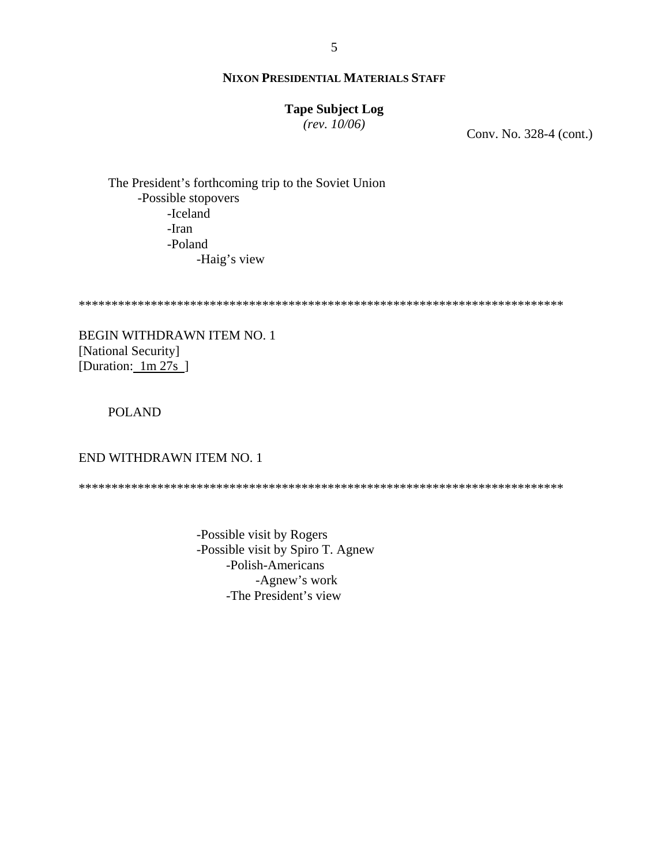## **Tape Subject Log**

 $(rev. 10/06)$ 

Conv. No. 328-4 (cont.)

The President's forthcoming trip to the Soviet Union -Possible stopovers -Iceland -Iran -Poland -Haig's view

BEGIN WITHDRAWN ITEM NO. 1 [National Security] [Duration:  $1m 27s$ ]

## **POLAND**

## END WITHDRAWN ITEM NO. 1

-Possible visit by Rogers -Possible visit by Spiro T. Agnew -Polish-Americans -Agnew's work -The President's view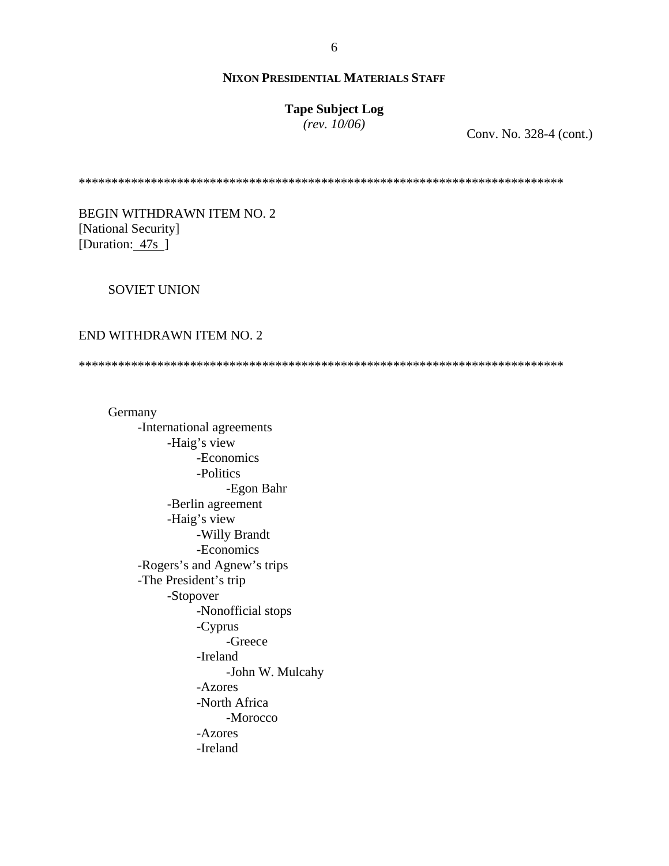# **Tape Subject Log**

*(rev. 10/06)*

Conv. No. 328-4 (cont.)

\*\*\*\*\*\*\*\*\*\*\*\*\*\*\*\*\*\*\*\*\*\*\*\*\*\*\*\*\*\*\*\*\*\*\*\*\*\*\*\*\*\*\*\*\*\*\*\*\*\*\*\*\*\*\*\*\*\*\*\*\*\*\*\*\*\*\*\*\*\*\*\*\*\*

## BEGIN WITHDRAWN ITEM NO. 2 [National Security] [Duration: 47s]

#### SOVIET UNION

#### END WITHDRAWN ITEM NO. 2

\*\*\*\*\*\*\*\*\*\*\*\*\*\*\*\*\*\*\*\*\*\*\*\*\*\*\*\*\*\*\*\*\*\*\*\*\*\*\*\*\*\*\*\*\*\*\*\*\*\*\*\*\*\*\*\*\*\*\*\*\*\*\*\*\*\*\*\*\*\*\*\*\*\*

 Germany -International agreements -Haig's view -Economics -Politics -Egon Bahr -Berlin agreement -Haig's view -Willy Brandt -Economics -Rogers's and Agnew's trips -The President's trip -Stopover -Nonofficial stops -Cyprus -Greece -Ireland -John W. Mulcahy -Azores -North Africa -Morocco -Azores -Ireland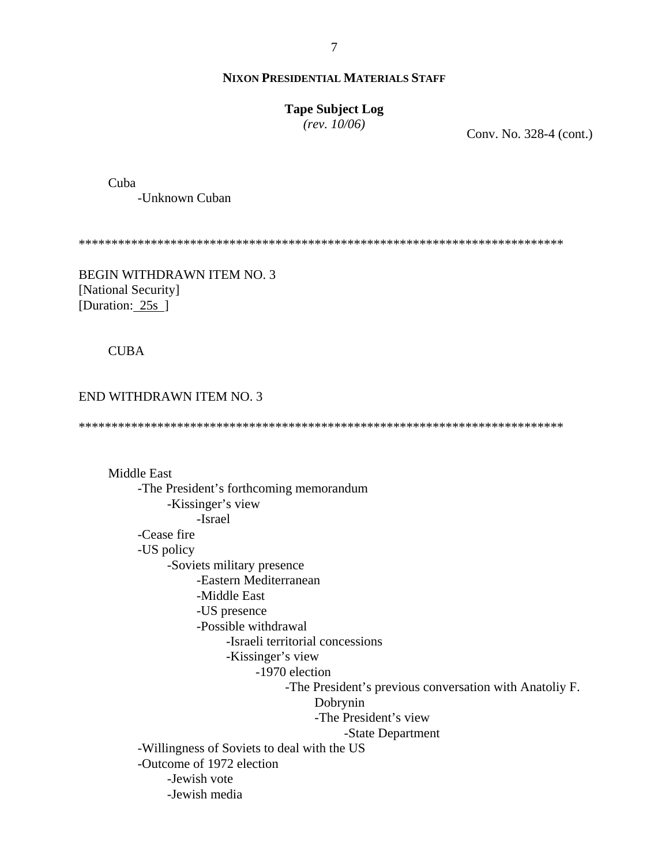#### $\overline{7}$

#### **NIXON PRESIDENTIAL MATERIALS STAFF**

## **Tape Subject Log**

 $(rev. 10/06)$ 

Conv. No. 328-4 (cont.)

Cuba

-Unknown Cuban

BEGIN WITHDRAWN ITEM NO. 3 [National Security] [Duration: 25s ]

**CUBA** 

END WITHDRAWN ITEM NO. 3

**Middle East** -The President's forthcoming memorandum -Kissinger's view -Israel -Cease fire -US policy -Soviets military presence -Eastern Mediterranean -Middle East -US presence -Possible withdrawal -Israeli territorial concessions -Kissinger's view -1970 election -The President's previous conversation with Anatoliy F. Dobrynin -The President's view -State Department -Willingness of Soviets to deal with the US -Outcome of 1972 election -Jewish vote -Jewish media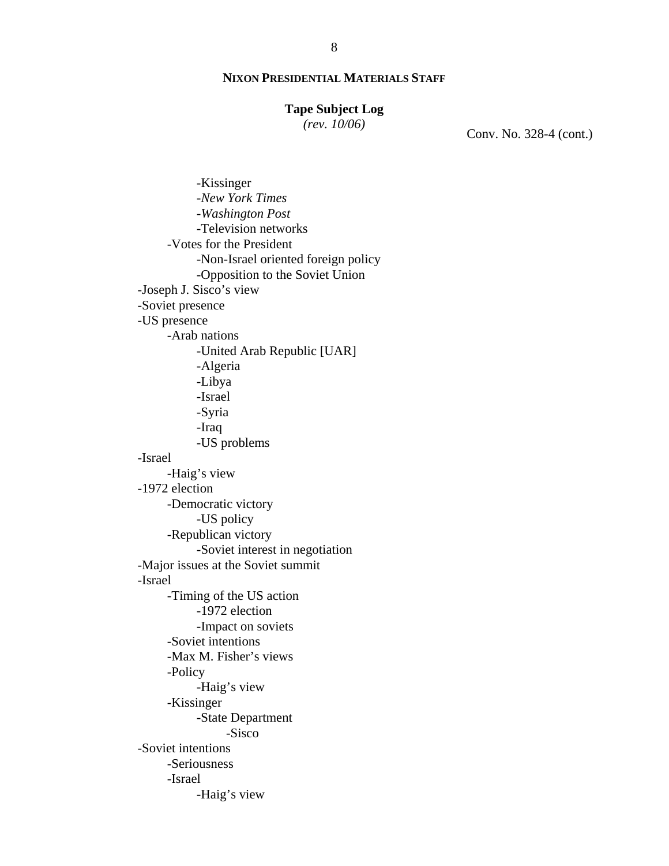#### **Tape Subject Log**

*(rev. 10/06)*

Conv. No. 328-4 (cont.)

 -Kissinger -*New York Times* -*Washington Post*  -Television networks -Votes for the President -Non-Israel oriented foreign policy -Opposition to the Soviet Union -Joseph J. Sisco's view -Soviet presence -US presence -Arab nations -United Arab Republic [UAR] -Algeria -Libya -Israel -Syria -Iraq -US problems -Israel -Haig's view -1972 election -Democratic victory -US policy -Republican victory -Soviet interest in negotiation -Major issues at the Soviet summit -Israel -Timing of the US action -1972 election -Impact on soviets -Soviet intentions -Max M. Fisher's views -Policy -Haig's view -Kissinger -State Department -Sisco -Soviet intentions -Seriousness -Israel -Haig's view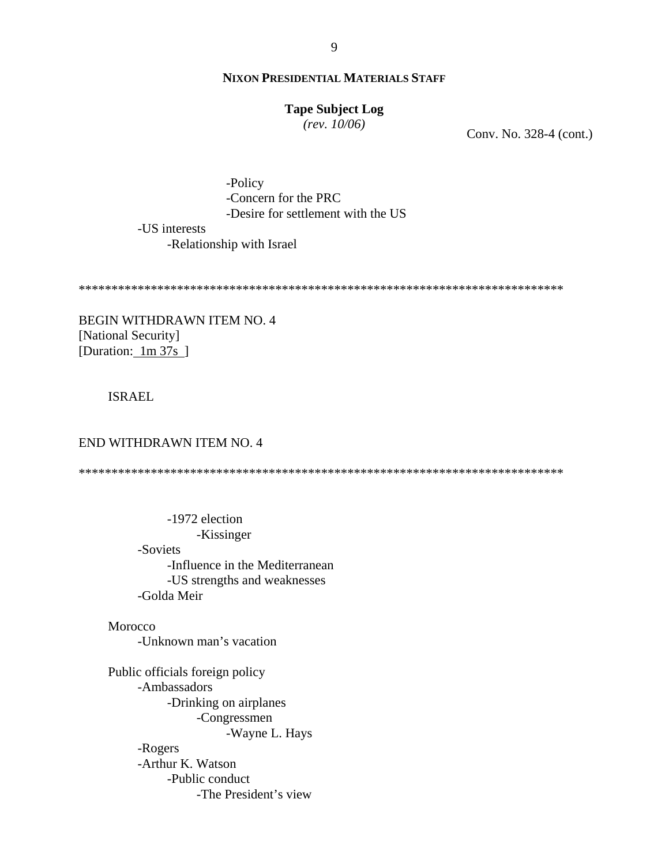## **Tape Subject Log**

 $(rev. 10/06)$ 

Conv. No. 328-4 (cont.)

-Policy -Concern for the PRC -Desire for settlement with the US -US interests

-Relationship with Israel

**BEGIN WITHDRAWN ITEM NO. 4** [National Security] [Duration: 1m 37s]

## **ISRAEL**

#### END WITHDRAWN ITEM NO. 4

-1972 election -Kissinger -Soviets -Influence in the Mediterranean -US strengths and weaknesses -Golda Meir

Morocco -Unknown man's vacation

Public officials foreign policy -Ambassadors -Drinking on airplanes -Congressmen -Wayne L. Hays -Rogers -Arthur K. Watson -Public conduct -The President's view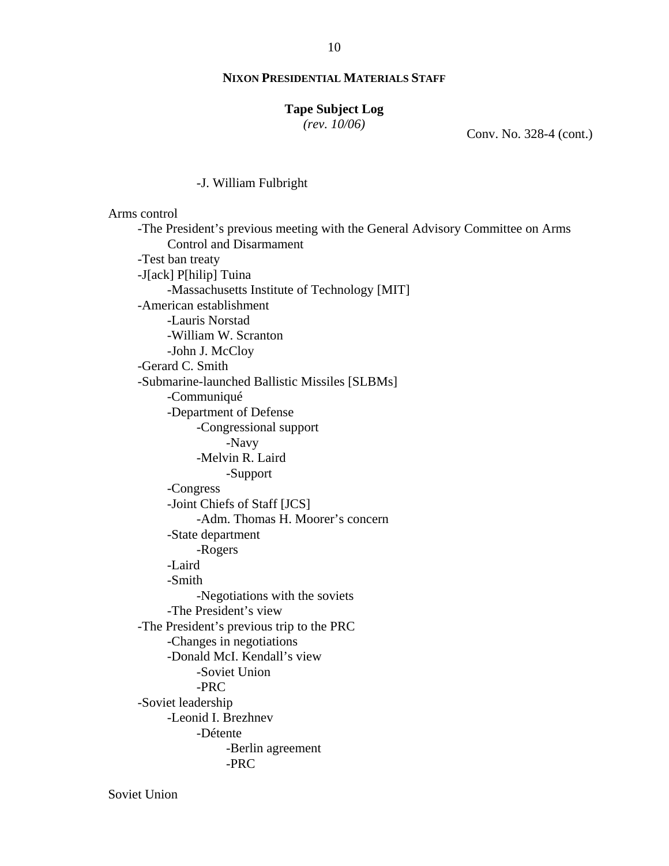## **Tape Subject Log**

*(rev. 10/06)*

Conv. No. 328-4 (cont.)

#### -J. William Fulbright

 Arms control -The President's previous meeting with the General Advisory Committee on Arms Control and Disarmament -Test ban treaty -J[ack] P[hilip] Tuina -Massachusetts Institute of Technology [MIT] -American establishment -Lauris Norstad -William W. Scranton -John J. McCloy -Gerard C. Smith -Submarine-launched Ballistic Missiles [SLBMs] -Communiqué -Department of Defense -Congressional support -Navy -Melvin R. Laird -Support -Congress -Joint Chiefs of Staff [JCS] -Adm. Thomas H. Moorer's concern -State department -Rogers -Laird -Smith -Negotiations with the soviets -The President's view -The President's previous trip to the PRC -Changes in negotiations -Donald McI. Kendall's view -Soviet Union -PRC -Soviet leadership -Leonid I. Brezhnev -Détente -Berlin agreement -PRC

Soviet Union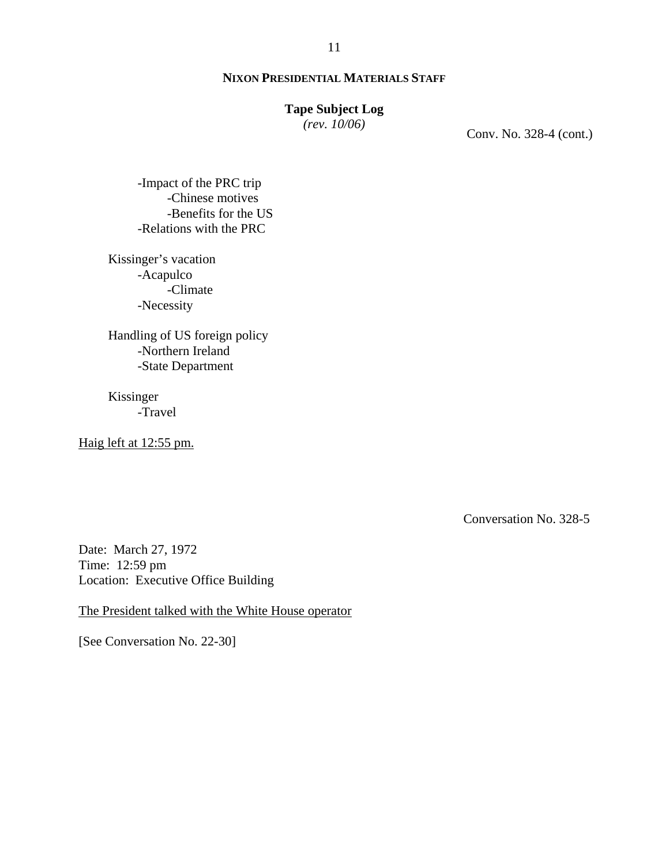#### **Tape Subject Log**

*(rev. 10/06)*

Conv. No. 328-4 (cont.)

-Impact of the PRC trip -Chinese motives -Benefits for the US -Relations with the PRC

Kissinger's vacation -Acapulco -Climate -Necessity

Handling of US foreign policy -Northern Ireland -State Department

Kissinger -Travel

Haig left at 12:55 pm.

Conversation No. 328-5

Date: March 27, 1972 Time: 12:59 pm Location: Executive Office Building

The President talked with the White House operator

[See Conversation No. 22-30]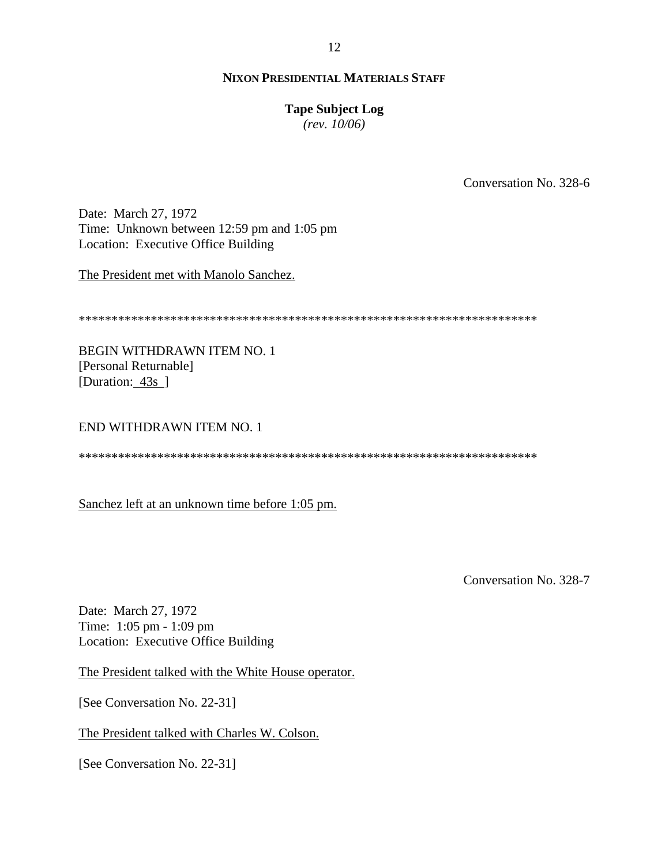## **Tape Subject Log**

*(rev. 10/06)*

Conversation No. 328-6

Date: March 27, 1972 Time: Unknown between 12:59 pm and 1:05 pm Location: Executive Office Building

The President met with Manolo Sanchez.

\*\*\*\*\*\*\*\*\*\*\*\*\*\*\*\*\*\*\*\*\*\*\*\*\*\*\*\*\*\*\*\*\*\*\*\*\*\*\*\*\*\*\*\*\*\*\*\*\*\*\*\*\*\*\*\*\*\*\*\*\*\*\*\*\*\*\*\*\*\*

BEGIN WITHDRAWN ITEM NO. 1 [Personal Returnable] [Duration: 43s]

## END WITHDRAWN ITEM NO. 1

\*\*\*\*\*\*\*\*\*\*\*\*\*\*\*\*\*\*\*\*\*\*\*\*\*\*\*\*\*\*\*\*\*\*\*\*\*\*\*\*\*\*\*\*\*\*\*\*\*\*\*\*\*\*\*\*\*\*\*\*\*\*\*\*\*\*\*\*\*\*

Sanchez left at an unknown time before 1:05 pm.

Conversation No. 328-7

Date: March 27, 1972 Time: 1:05 pm - 1:09 pm Location: Executive Office Building

The President talked with the White House operator.

[See Conversation No. 22-31]

The President talked with Charles W. Colson.

[See Conversation No. 22-31]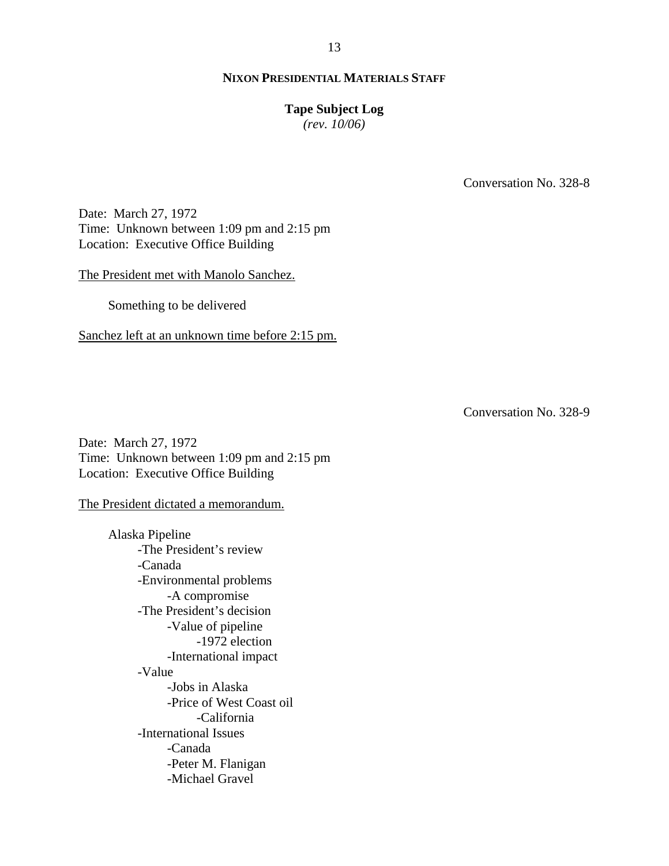#### **Tape Subject Log**

*(rev. 10/06)*

Conversation No. 328-8

Date: March 27, 1972 Time: Unknown between 1:09 pm and 2:15 pm Location: Executive Office Building

The President met with Manolo Sanchez.

Something to be delivered

Sanchez left at an unknown time before 2:15 pm.

Conversation No. 328-9

Date: March 27, 1972 Time: Unknown between 1:09 pm and 2:15 pm Location: Executive Office Building

The President dictated a memorandum.

Alaska Pipeline -The President's review -Canada -Environmental problems -A compromise -The President's decision -Value of pipeline -1972 election -International impact -Value -Jobs in Alaska -Price of West Coast oil -California -International Issues -Canada -Peter M. Flanigan -Michael Gravel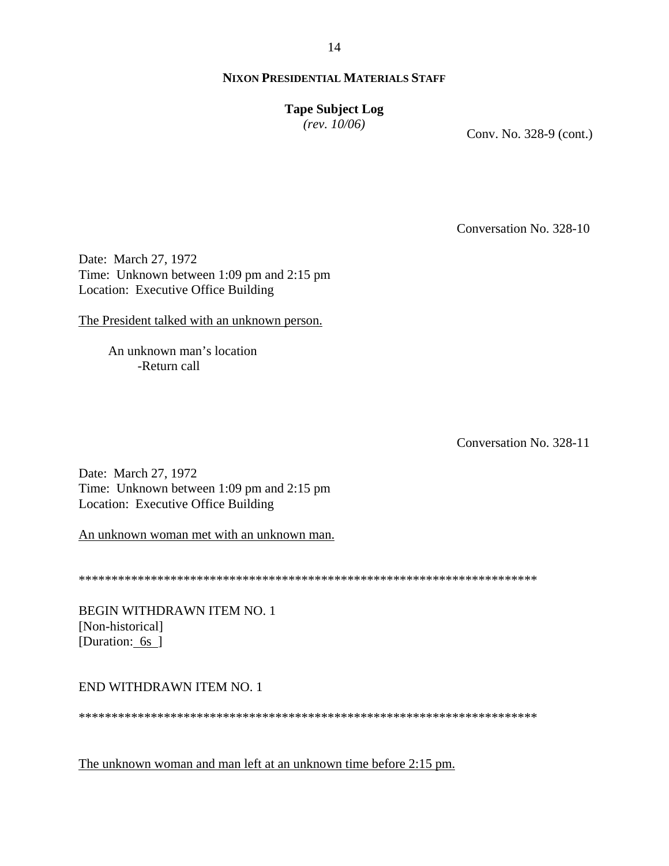# **Tape Subject Log**

*(rev. 10/06)*

Conv. No. 328-9 (cont.)

Conversation No. 328-10

Date: March 27, 1972 Time: Unknown between 1:09 pm and 2:15 pm Location: Executive Office Building

The President talked with an unknown person.

An unknown man's location -Return call

Conversation No. 328-11

Date: March 27, 1972 Time: Unknown between 1:09 pm and 2:15 pm Location: Executive Office Building

An unknown woman met with an unknown man.

\*\*\*\*\*\*\*\*\*\*\*\*\*\*\*\*\*\*\*\*\*\*\*\*\*\*\*\*\*\*\*\*\*\*\*\*\*\*\*\*\*\*\*\*\*\*\*\*\*\*\*\*\*\*\*\*\*\*\*\*\*\*\*\*\*\*\*\*\*\*

BEGIN WITHDRAWN ITEM NO. 1 [Non-historical] [Duration: 6s ]

## END WITHDRAWN ITEM NO. 1

\*\*\*\*\*\*\*\*\*\*\*\*\*\*\*\*\*\*\*\*\*\*\*\*\*\*\*\*\*\*\*\*\*\*\*\*\*\*\*\*\*\*\*\*\*\*\*\*\*\*\*\*\*\*\*\*\*\*\*\*\*\*\*\*\*\*\*\*\*\*

The unknown woman and man left at an unknown time before 2:15 pm.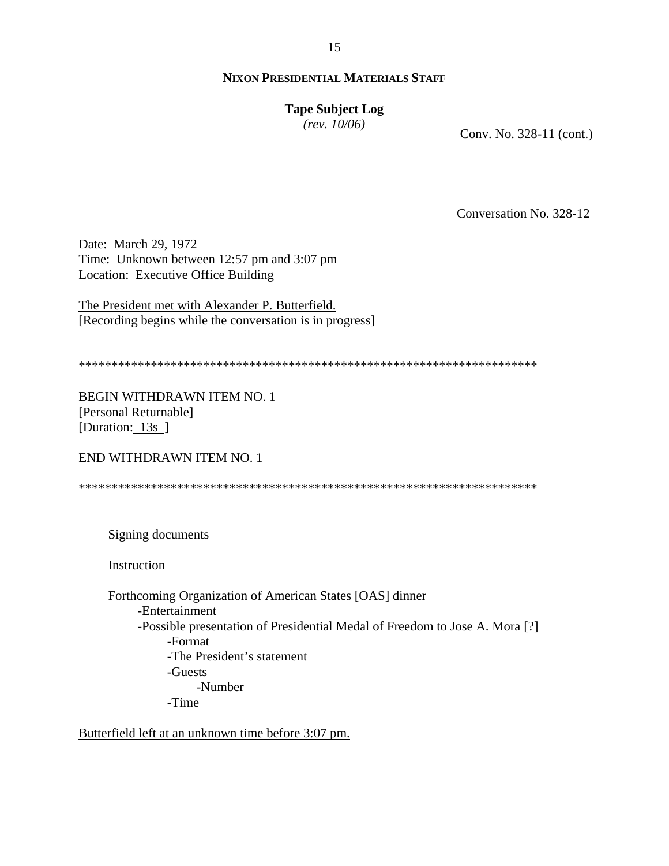# 15

## **NIXON PRESIDENTIAL MATERIALS STAFF**

## **Tape Subject Log**

*(rev. 10/06)*

Conv. No. 328-11 (cont.)

Conversation No. 328-12

Date: March 29, 1972 Time: Unknown between 12:57 pm and 3:07 pm Location: Executive Office Building

The President met with Alexander P. Butterfield. [Recording begins while the conversation is in progress]

\*\*\*\*\*\*\*\*\*\*\*\*\*\*\*\*\*\*\*\*\*\*\*\*\*\*\*\*\*\*\*\*\*\*\*\*\*\*\*\*\*\*\*\*\*\*\*\*\*\*\*\*\*\*\*\*\*\*\*\*\*\*\*\*\*\*\*\*\*\*

BEGIN WITHDRAWN ITEM NO. 1 [Personal Returnable] [Duration: 13s]

END WITHDRAWN ITEM NO. 1

\*\*\*\*\*\*\*\*\*\*\*\*\*\*\*\*\*\*\*\*\*\*\*\*\*\*\*\*\*\*\*\*\*\*\*\*\*\*\*\*\*\*\*\*\*\*\*\*\*\*\*\*\*\*\*\*\*\*\*\*\*\*\*\*\*\*\*\*\*\*

Signing documents

Instruction

Forthcoming Organization of American States [OAS] dinner -Entertainment -Possible presentation of Presidential Medal of Freedom to Jose A. Mora [?] -Format -The President's statement -Guests -Number -Time

Butterfield left at an unknown time before 3:07 pm.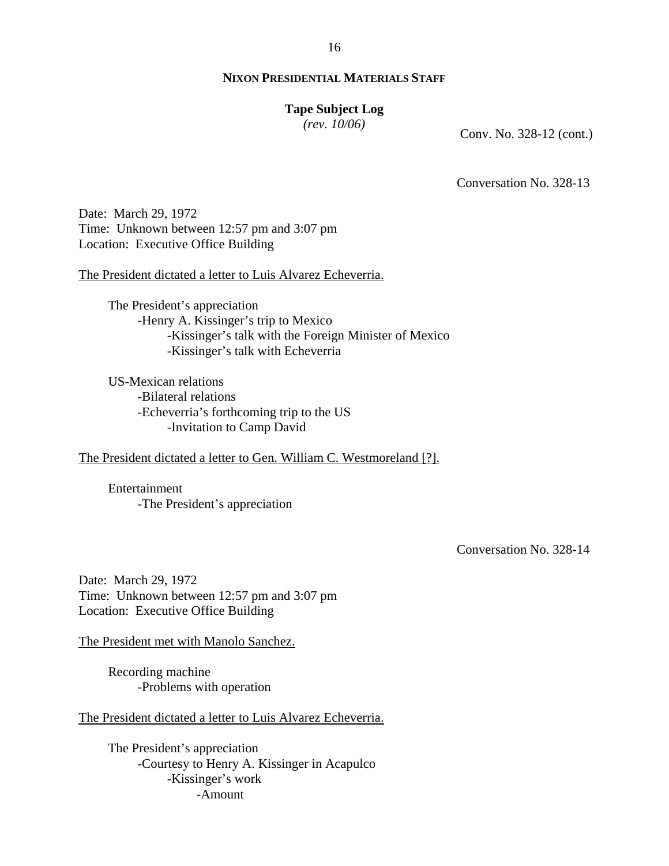#### **Tape Subject Log**

*(rev. 10/06)*

Conv. No. 328-12 (cont.)

Conversation No. 328-13

Date: March 29, 1972 Time: Unknown between 12:57 pm and 3:07 pm Location: Executive Office Building

The President dictated a letter to Luis Alvarez Echeverria.

The President's appreciation -Henry A. Kissinger's trip to Mexico -Kissinger's talk with the Foreign Minister of Mexico -Kissinger's talk with Echeverria

US-Mexican relations -Bilateral relations -Echeverria's forthcoming trip to the US -Invitation to Camp David

The President dictated a letter to Gen. William C. Westmoreland [?].

Entertainment -The President's appreciation

Conversation No. 328-14

Date: March 29, 1972 Time: Unknown between 12:57 pm and 3:07 pm Location: Executive Office Building

The President met with Manolo Sanchez.

Recording machine -Problems with operation

The President dictated a letter to Luis Alvarez Echeverria.

The President's appreciation -Courtesy to Henry A. Kissinger in Acapulco -Kissinger's work -Amount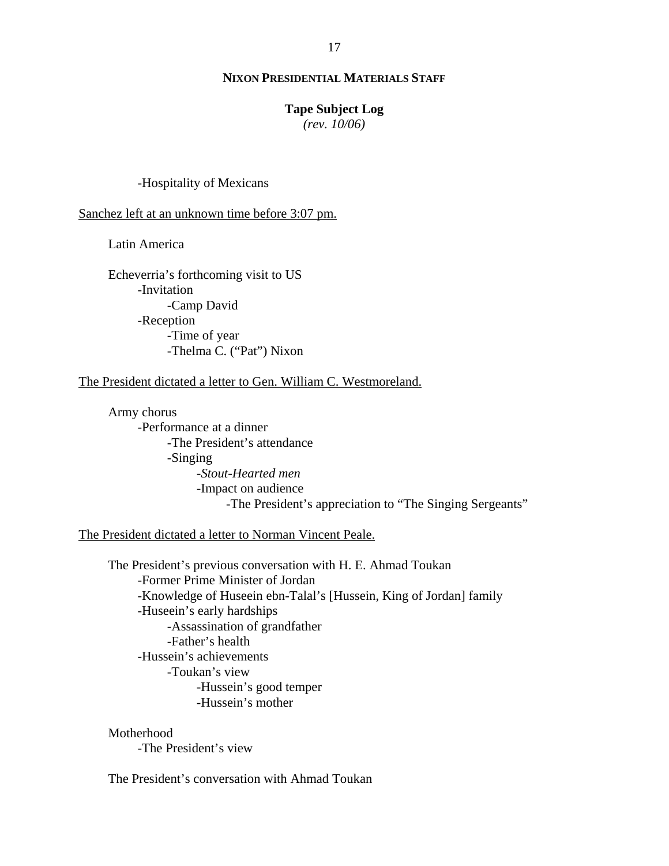#### **Tape Subject Log**

*(rev. 10/06)*

#### -Hospitality of Mexicans

#### Sanchez left at an unknown time before 3:07 pm.

Latin America

Echeverria's forthcoming visit to US -Invitation -Camp David -Reception -Time of year -Thelma C. ("Pat") Nixon

#### The President dictated a letter to Gen. William C. Westmoreland.

Army chorus -Performance at a dinner -The President's attendance -Singing -*Stout-Hearted men* -Impact on audience -The President's appreciation to "The Singing Sergeants"

#### The President dictated a letter to Norman Vincent Peale.

The President's previous conversation with H. E. Ahmad Toukan -Former Prime Minister of Jordan -Knowledge of Huseein ebn-Talal's [Hussein, King of Jordan] family -Huseein's early hardships -Assassination of grandfather -Father's health -Hussein's achievements -Toukan's view -Hussein's good temper -Hussein's mother

#### Motherhood

-The President's view

The President's conversation with Ahmad Toukan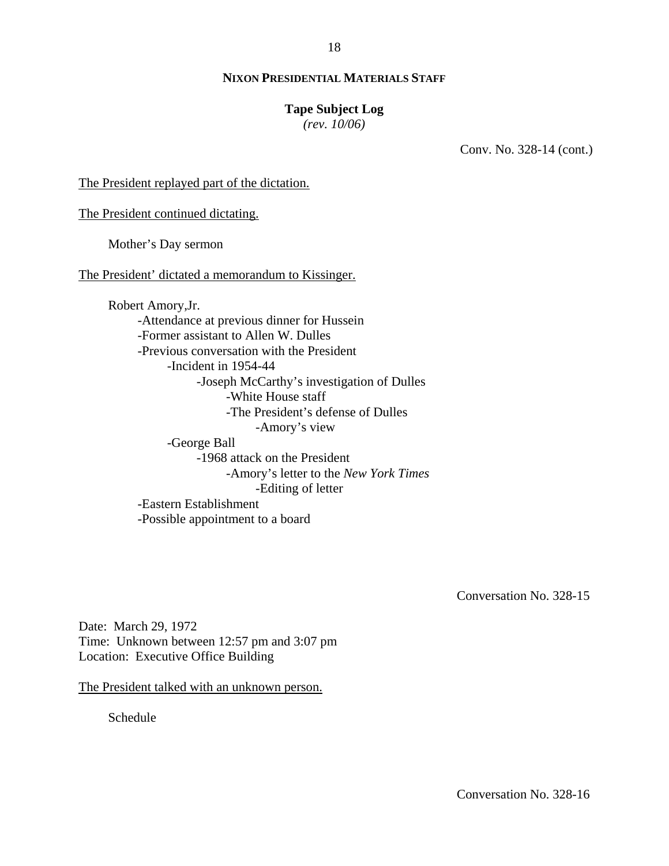#### **Tape Subject Log**

*(rev. 10/06)*

Conv. No. 328-14 (cont.)

The President replayed part of the dictation.

The President continued dictating.

Mother's Day sermon

The President' dictated a memorandum to Kissinger.

Robert Amory,Jr. -Attendance at previous dinner for Hussein -Former assistant to Allen W. Dulles -Previous conversation with the President -Incident in 1954-44 -Joseph McCarthy's investigation of Dulles -White House staff -The President's defense of Dulles -Amory's view -George Ball -1968 attack on the President -Amory's letter to the *New York Times* -Editing of letter -Eastern Establishment -Possible appointment to a board

Conversation No. 328-15

Date: March 29, 1972 Time: Unknown between 12:57 pm and 3:07 pm Location: Executive Office Building

The President talked with an unknown person.

Schedule

Conversation No. 328-16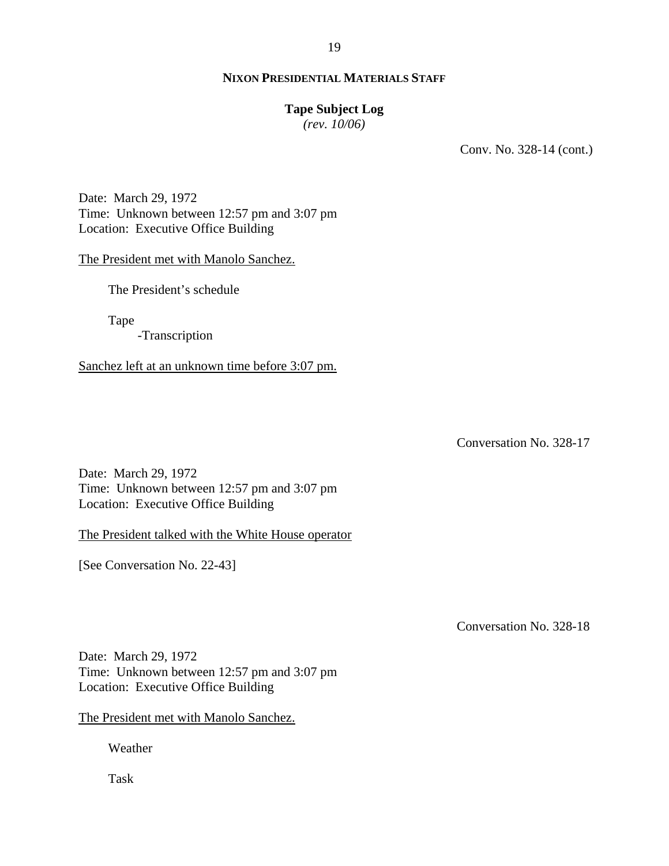## **Tape Subject Log**

*(rev. 10/06)*

Conv. No. 328-14 (cont.)

Date: March 29, 1972 Time: Unknown between 12:57 pm and 3:07 pm Location: Executive Office Building

#### The President met with Manolo Sanchez.

The President's schedule

Tape

-Transcription

Sanchez left at an unknown time before 3:07 pm.

Conversation No. 328-17

Date: March 29, 1972 Time: Unknown between 12:57 pm and 3:07 pm Location: Executive Office Building

The President talked with the White House operator

[See Conversation No. 22-43]

Conversation No. 328-18

Date: March 29, 1972 Time: Unknown between 12:57 pm and 3:07 pm Location: Executive Office Building

The President met with Manolo Sanchez.

Weather

Task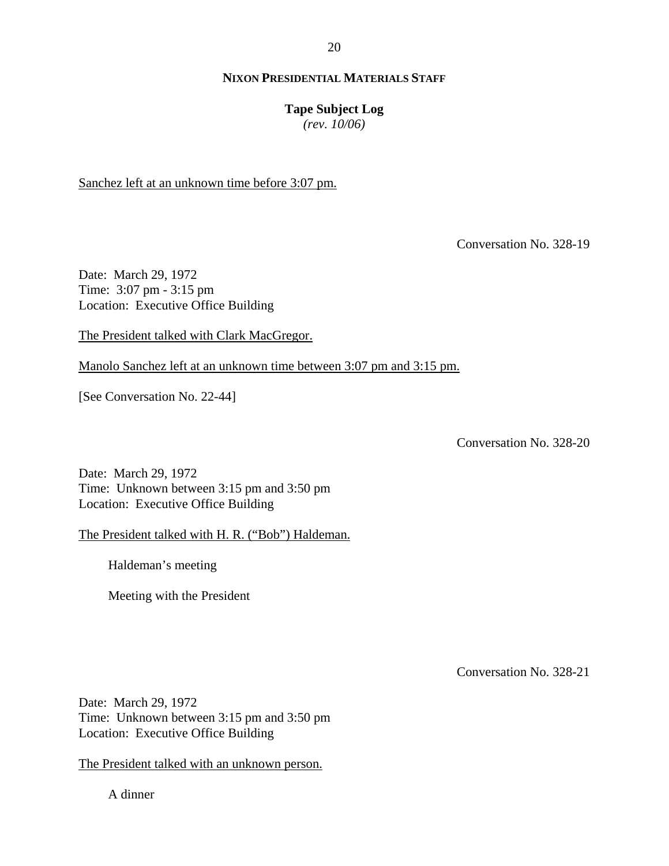20

## **NIXON PRESIDENTIAL MATERIALS STAFF**

#### **Tape Subject Log**

*(rev. 10/06)*

Sanchez left at an unknown time before 3:07 pm.

Conversation No. 328-19

Date: March 29, 1972 Time: 3:07 pm - 3:15 pm Location: Executive Office Building

The President talked with Clark MacGregor.

Manolo Sanchez left at an unknown time between 3:07 pm and 3:15 pm.

[See Conversation No. 22-44]

Conversation No. 328-20

Date: March 29, 1972 Time: Unknown between 3:15 pm and 3:50 pm Location: Executive Office Building

The President talked with H. R. ("Bob") Haldeman.

Haldeman's meeting

Meeting with the President

Conversation No. 328-21

Date: March 29, 1972 Time: Unknown between 3:15 pm and 3:50 pm Location: Executive Office Building

The President talked with an unknown person.

A dinner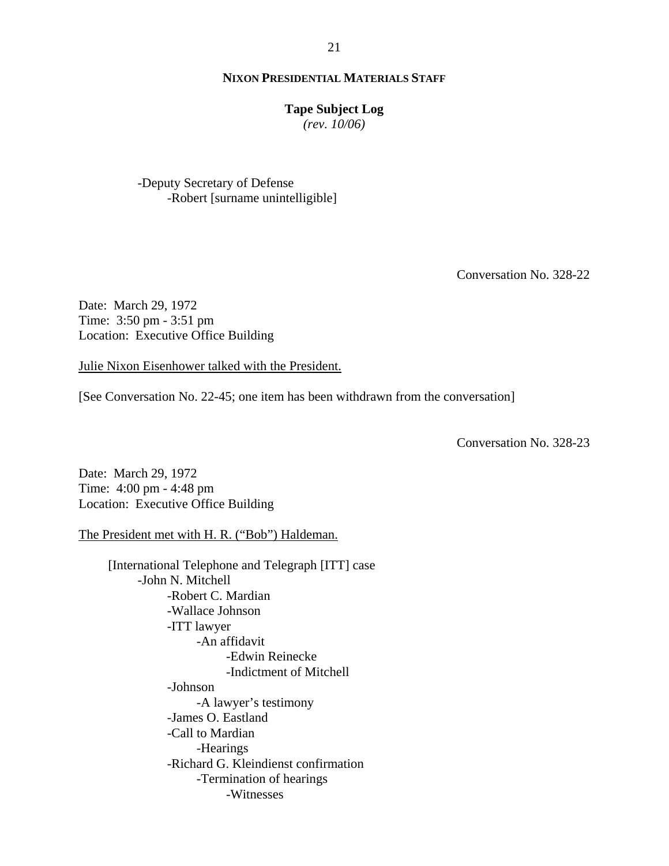#### **Tape Subject Log**

*(rev. 10/06)*

-Deputy Secretary of Defense -Robert [surname unintelligible]

Conversation No. 328-22

Date: March 29, 1972 Time: 3:50 pm - 3:51 pm Location: Executive Office Building

Julie Nixon Eisenhower talked with the President.

[See Conversation No. 22-45; one item has been withdrawn from the conversation]

Conversation No. 328-23

Date: March 29, 1972 Time: 4:00 pm - 4:48 pm Location: Executive Office Building

The President met with H. R. ("Bob") Haldeman.

[International Telephone and Telegraph [ITT] case -John N. Mitchell -Robert C. Mardian -Wallace Johnson -ITT lawyer -An affidavit -Edwin Reinecke -Indictment of Mitchell -Johnson -A lawyer's testimony -James O. Eastland -Call to Mardian -Hearings -Richard G. Kleindienst confirmation -Termination of hearings -Witnesses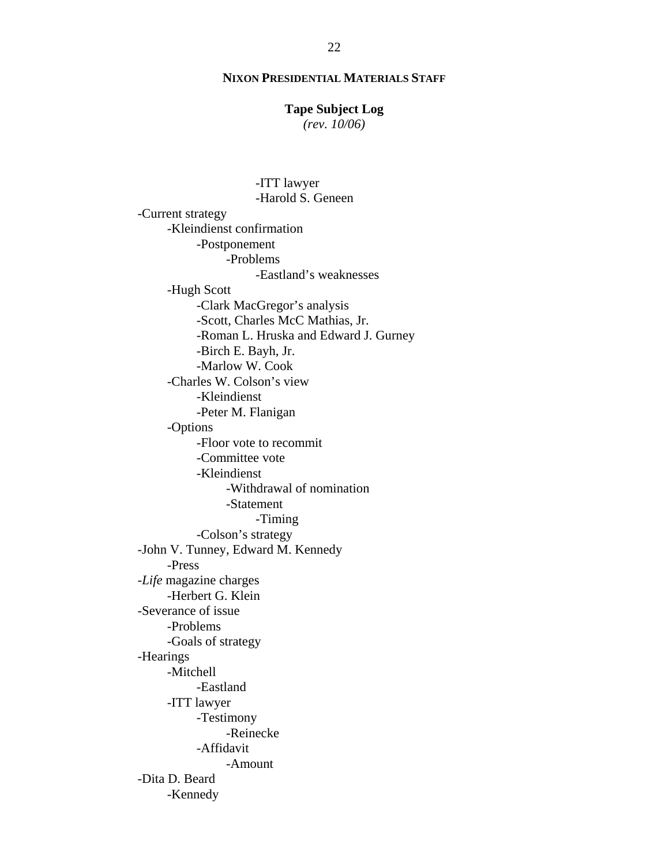## **Tape Subject Log**

*(rev. 10/06)*

 -ITT lawyer -Harold S. Geneen -Current strategy -Kleindienst confirmation -Postponement -Problems -Eastland's weaknesses -Hugh Scott -Clark MacGregor's analysis -Scott, Charles McC Mathias, Jr. -Roman L. Hruska and Edward J. Gurney -Birch E. Bayh, Jr. -Marlow W. Cook -Charles W. Colson's view -Kleindienst -Peter M. Flanigan -Options -Floor vote to recommit -Committee vote -Kleindienst -Withdrawal of nomination -Statement -Timing -Colson's strategy -John V. Tunney, Edward M. Kennedy -Press -*Life* magazine charges -Herbert G. Klein -Severance of issue -Problems -Goals of strategy -Hearings -Mitchell -Eastland -ITT lawyer -Testimony -Reinecke -Affidavit -Amount -Dita D. Beard -Kennedy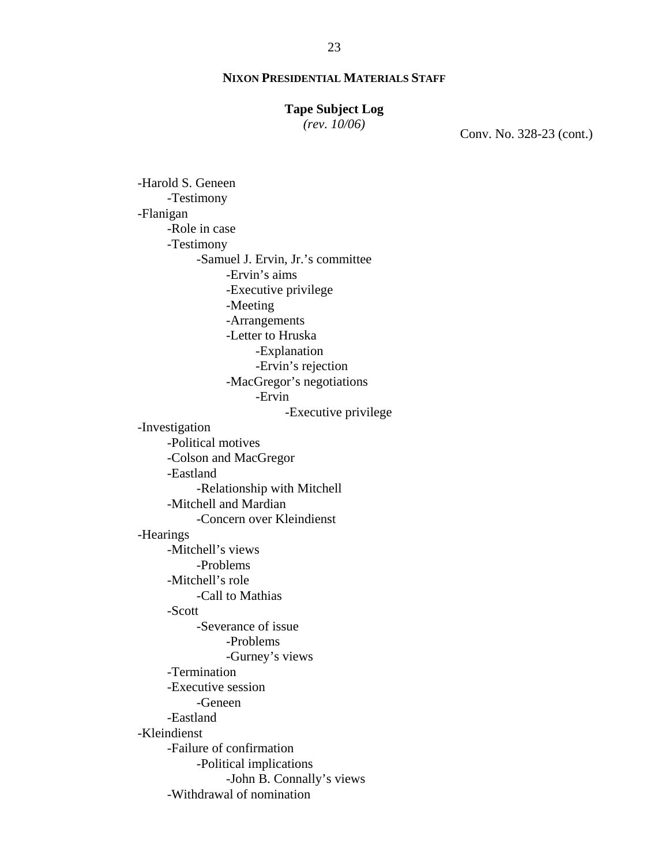## **Tape Subject Log**

*(rev. 10/06)*

Conv. No. 328-23 (cont.)

-Harold S. Geneen -Testimony -Flanigan -Role in case -Testimony -Samuel J. Ervin, Jr.'s committee -Ervin's aims -Executive privilege -Meeting -Arrangements -Letter to Hruska -Explanation -Ervin's rejection -MacGregor's negotiations -Ervin -Executive privilege -Investigation -Political motives -Colson and MacGregor -Eastland -Relationship with Mitchell -Mitchell and Mardian -Concern over Kleindienst -Hearings -Mitchell's views -Problems -Mitchell's role -Call to Mathias -Scott -Severance of issue -Problems -Gurney's views -Termination -Executive session -Geneen -Eastland -Kleindienst -Failure of confirmation -Political implications -John B. Connally's views -Withdrawal of nomination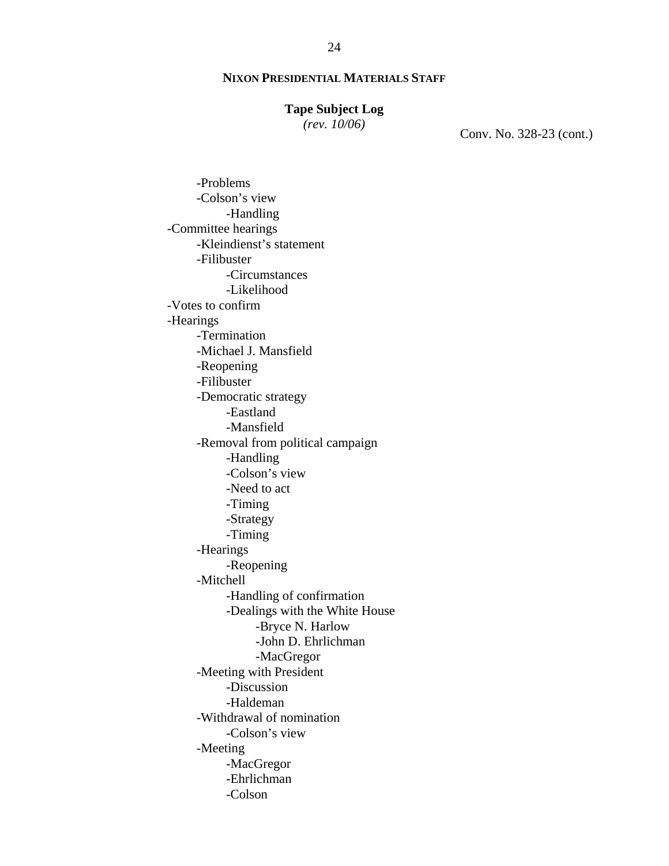#### **Tape Subject Log**

*(rev. 10/06)*

Conv. No. 328-23 (cont.)

-Problems -Colson's view -Handling -Committee hearings -Kleindienst's statement -Filibuster -Circumstances -Likelihood -Votes to confirm -Hearings -Termination -Michael J. Mansfield -Reopening -Filibuster -Democratic strategy -Eastland -Mansfield -Removal from political campaign -Handling -Colson's view -Need to act -Timing -Strategy -Timing -Hearings -Reopening -Mitchell -Handling of confirmation -Dealings with the White House -Bryce N. Harlow -John D. Ehrlichman -MacGregor -Meeting with President -Discussion -Haldeman -Withdrawal of nomination -Colson's view -Meeting -MacGregor -Ehrlichman -Colson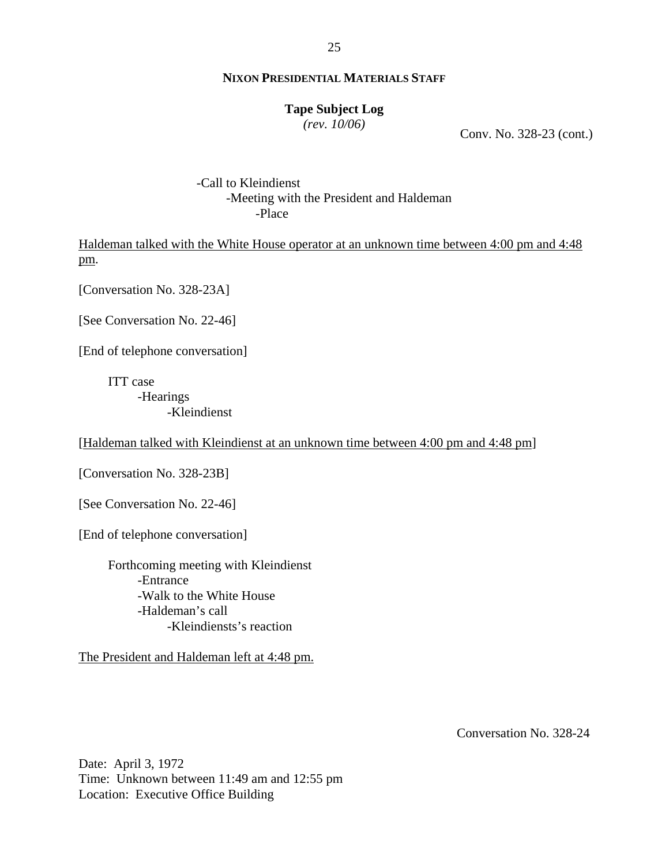#### **Tape Subject Log**

*(rev. 10/06)*

Conv. No. 328-23 (cont.)

 -Call to Kleindienst -Meeting with the President and Haldeman -Place

Haldeman talked with the White House operator at an unknown time between 4:00 pm and 4:48 pm.

[Conversation No. 328-23A]

[See Conversation No. 22-46]

[End of telephone conversation]

ITT case -Hearings -Kleindienst

[Haldeman talked with Kleindienst at an unknown time between 4:00 pm and 4:48 pm]

[Conversation No. 328-23B]

[See Conversation No. 22-46]

[End of telephone conversation]

Forthcoming meeting with Kleindienst -Entrance -Walk to the White House -Haldeman's call -Kleindiensts's reaction

The President and Haldeman left at 4:48 pm.

Conversation No. 328-24

Date: April 3, 1972 Time: Unknown between 11:49 am and 12:55 pm Location: Executive Office Building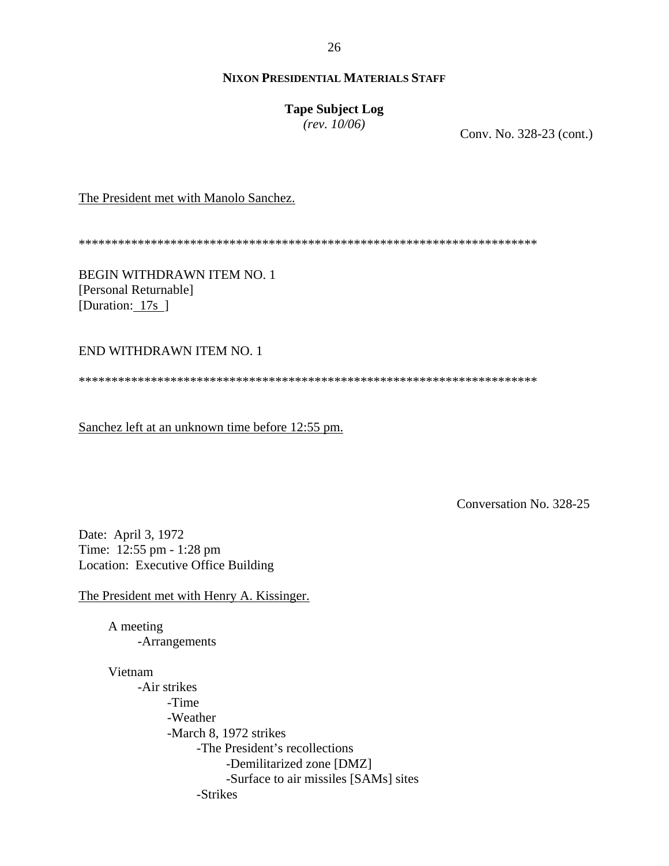## **Tape Subject Log**

*(rev. 10/06)*

Conv. No. 328-23 (cont.)

The President met with Manolo Sanchez.

\*\*\*\*\*\*\*\*\*\*\*\*\*\*\*\*\*\*\*\*\*\*\*\*\*\*\*\*\*\*\*\*\*\*\*\*\*\*\*\*\*\*\*\*\*\*\*\*\*\*\*\*\*\*\*\*\*\*\*\*\*\*\*\*\*\*\*\*\*\*

BEGIN WITHDRAWN ITEM NO. 1 [Personal Returnable] [Duration: 17s ]

END WITHDRAWN ITEM NO. 1

\*\*\*\*\*\*\*\*\*\*\*\*\*\*\*\*\*\*\*\*\*\*\*\*\*\*\*\*\*\*\*\*\*\*\*\*\*\*\*\*\*\*\*\*\*\*\*\*\*\*\*\*\*\*\*\*\*\*\*\*\*\*\*\*\*\*\*\*\*\*

Sanchez left at an unknown time before 12:55 pm.

Conversation No. 328-25

Date: April 3, 1972 Time: 12:55 pm - 1:28 pm Location: Executive Office Building

The President met with Henry A. Kissinger.

A meeting -Arrangements

Vietnam

-Air strikes -Time -Weather -March 8, 1972 strikes -The President's recollections -Demilitarized zone [DMZ] -Surface to air missiles [SAMs] sites -Strikes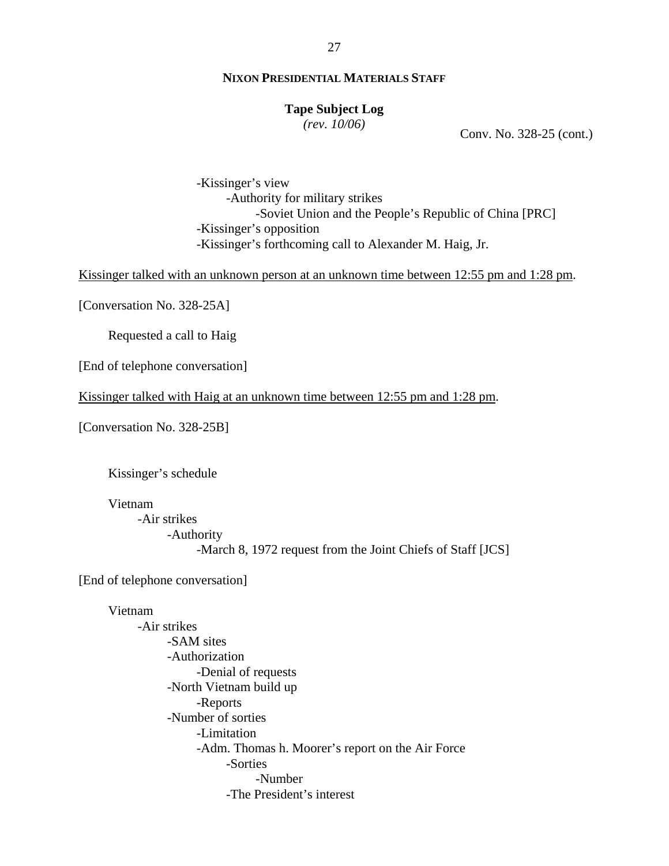#### **Tape Subject Log**

*(rev. 10/06)*

Conv. No. 328-25 (cont.)

 -Kissinger's view -Authority for military strikes -Soviet Union and the People's Republic of China [PRC] -Kissinger's opposition -Kissinger's forthcoming call to Alexander M. Haig, Jr.

Kissinger talked with an unknown person at an unknown time between 12:55 pm and 1:28 pm.

[Conversation No. 328-25A]

Requested a call to Haig

[End of telephone conversation]

Kissinger talked with Haig at an unknown time between 12:55 pm and 1:28 pm.

[Conversation No. 328-25B]

Kissinger's schedule

Vietnam

-Air strikes -Authority -March 8, 1972 request from the Joint Chiefs of Staff [JCS]

[End of telephone conversation]

#### Vietnam

-Air strikes -SAM sites -Authorization -Denial of requests -North Vietnam build up -Reports -Number of sorties -Limitation -Adm. Thomas h. Moorer's report on the Air Force -Sorties -Number -The President's interest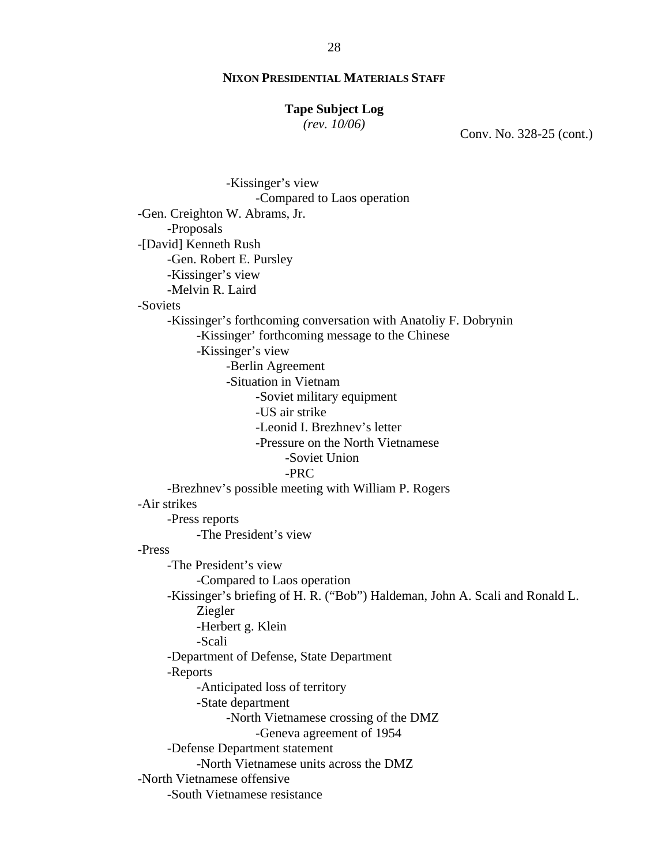#### **Tape Subject Log**

*(rev. 10/06)*

Conv. No. 328-25 (cont.)

 -Kissinger's view -Compared to Laos operation -Gen. Creighton W. Abrams, Jr. -Proposals -[David] Kenneth Rush -Gen. Robert E. Pursley -Kissinger's view -Melvin R. Laird -Soviets -Kissinger's forthcoming conversation with Anatoliy F. Dobrynin -Kissinger' forthcoming message to the Chinese -Kissinger's view -Berlin Agreement -Situation in Vietnam -Soviet military equipment -US air strike -Leonid I. Brezhnev's letter -Pressure on the North Vietnamese -Soviet Union -PRC -Brezhnev's possible meeting with William P. Rogers -Air strikes -Press reports -The President's view -Press -The President's view -Compared to Laos operation -Kissinger's briefing of H. R. ("Bob") Haldeman, John A. Scali and Ronald L. Ziegler -Herbert g. Klein -Scali -Department of Defense, State Department -Reports -Anticipated loss of territory -State department -North Vietnamese crossing of the DMZ -Geneva agreement of 1954 -Defense Department statement -North Vietnamese units across the DMZ -North Vietnamese offensive -South Vietnamese resistance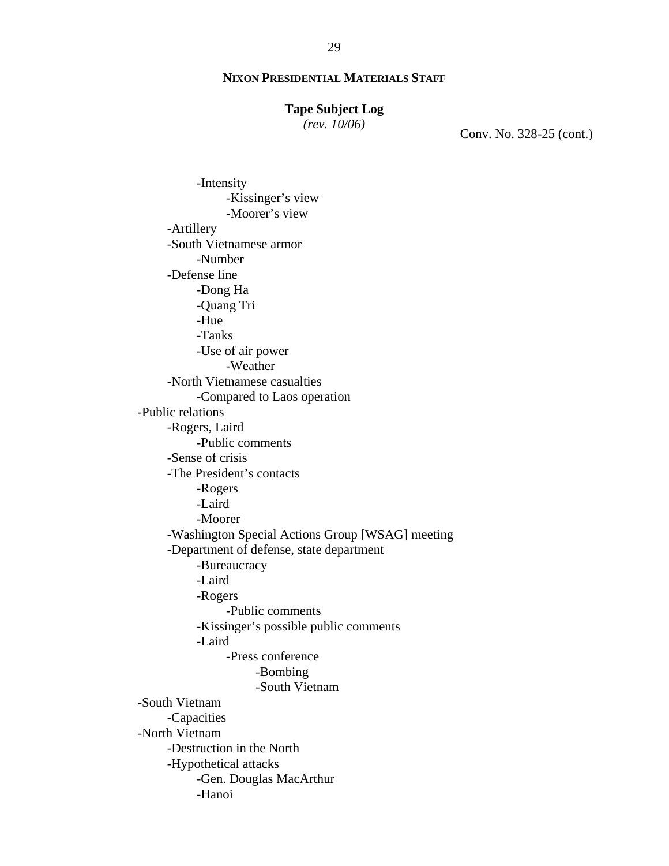#### **Tape Subject Log**

*(rev. 10/06)*

Conv. No. 328-25 (cont.)

-Intensity -Kissinger's view -Moorer's view -Artillery -South Vietnamese armor -Number -Defense line -Dong Ha -Quang Tri -Hue -Tanks -Use of air power -Weather -North Vietnamese casualties -Compared to Laos operation -Public relations -Rogers, Laird -Public comments -Sense of crisis -The President's contacts -Rogers -Laird -Moorer -Washington Special Actions Group [WSAG] meeting -Department of defense, state department -Bureaucracy -Laird -Rogers -Public comments -Kissinger's possible public comments -Laird -Press conference -Bombing -South Vietnam -South Vietnam -Capacities -North Vietnam -Destruction in the North -Hypothetical attacks -Gen. Douglas MacArthur -Hanoi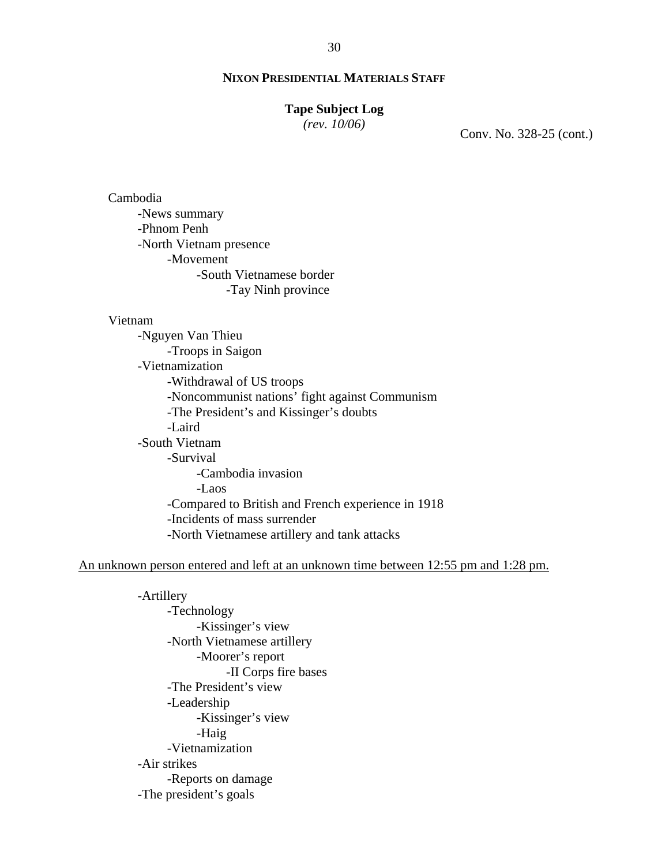#### **Tape Subject Log**

*(rev. 10/06)*

Conv. No. 328-25 (cont.)

Cambodia -News summary -Phnom Penh -North Vietnam presence -Movement -South Vietnamese border -Tay Ninh province

#### Vietnam

-Nguyen Van Thieu -Troops in Saigon -Vietnamization -Withdrawal of US troops -Noncommunist nations' fight against Communism -The President's and Kissinger's doubts -Laird -South Vietnam -Survival -Cambodia invasion -Laos -Compared to British and French experience in 1918 -Incidents of mass surrender -North Vietnamese artillery and tank attacks

#### An unknown person entered and left at an unknown time between 12:55 pm and 1:28 pm.

-Artillery -Technology -Kissinger's view -North Vietnamese artillery -Moorer's report -II Corps fire bases -The President's view -Leadership -Kissinger's view -Haig -Vietnamization -Air strikes -Reports on damage -The president's goals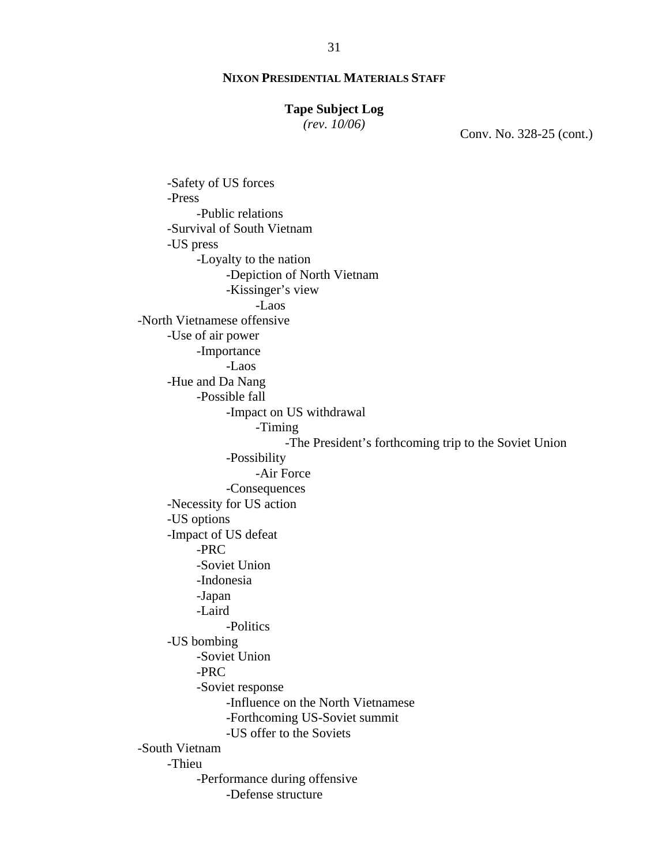#### **Tape Subject Log**

*(rev. 10/06)*

Conv. No. 328-25 (cont.)

-Safety of US forces -Press -Public relations -Survival of South Vietnam -US press -Loyalty to the nation -Depiction of North Vietnam -Kissinger's view -Laos -North Vietnamese offensive -Use of air power -Importance -Laos -Hue and Da Nang -Possible fall -Impact on US withdrawal -Timing -The President's forthcoming trip to the Soviet Union -Possibility -Air Force -Consequences -Necessity for US action -US options -Impact of US defeat -PRC -Soviet Union -Indonesia -Japan -Laird -Politics -US bombing -Soviet Union -PRC -Soviet response -Influence on the North Vietnamese -Forthcoming US-Soviet summit -US offer to the Soviets -South Vietnam -Thieu -Performance during offensive -Defense structure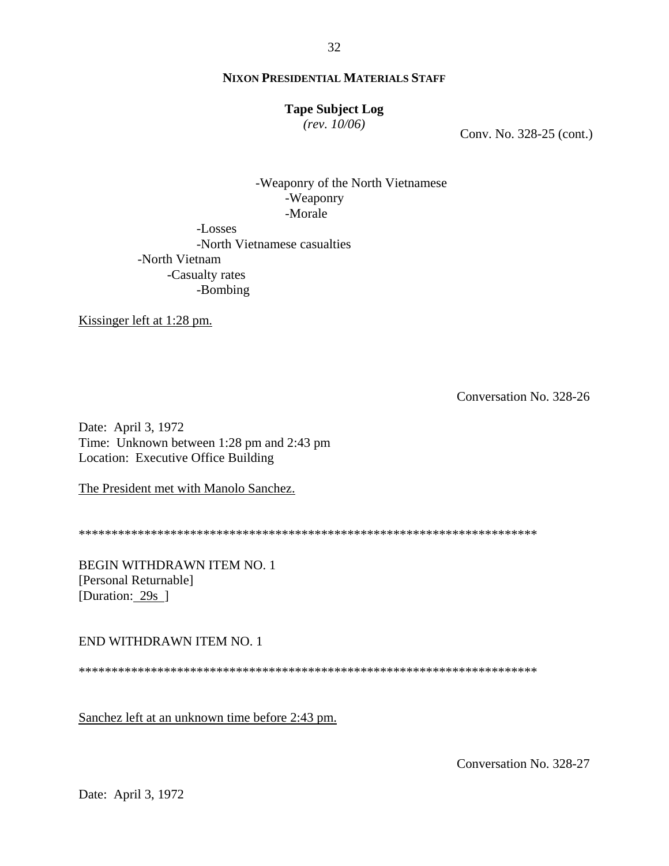#### **Tape Subject Log**

*(rev. 10/06)*

Conv. No. 328-25 (cont.)

 -Weaponry of the North Vietnamese -Weaponry -Morale

-Losses -North Vietnamese casualties -North Vietnam -Casualty rates -Bombing

Kissinger left at 1:28 pm.

Conversation No. 328-26

Date: April 3, 1972 Time: Unknown between 1:28 pm and 2:43 pm Location: Executive Office Building

The President met with Manolo Sanchez.

\*\*\*\*\*\*\*\*\*\*\*\*\*\*\*\*\*\*\*\*\*\*\*\*\*\*\*\*\*\*\*\*\*\*\*\*\*\*\*\*\*\*\*\*\*\*\*\*\*\*\*\*\*\*\*\*\*\*\*\*\*\*\*\*\*\*\*\*\*\*

BEGIN WITHDRAWN ITEM NO. 1 [Personal Returnable] [Duration: 29s ]

END WITHDRAWN ITEM NO. 1

\*\*\*\*\*\*\*\*\*\*\*\*\*\*\*\*\*\*\*\*\*\*\*\*\*\*\*\*\*\*\*\*\*\*\*\*\*\*\*\*\*\*\*\*\*\*\*\*\*\*\*\*\*\*\*\*\*\*\*\*\*\*\*\*\*\*\*\*\*\*

Sanchez left at an unknown time before 2:43 pm.

Conversation No. 328-27

Date: April 3, 1972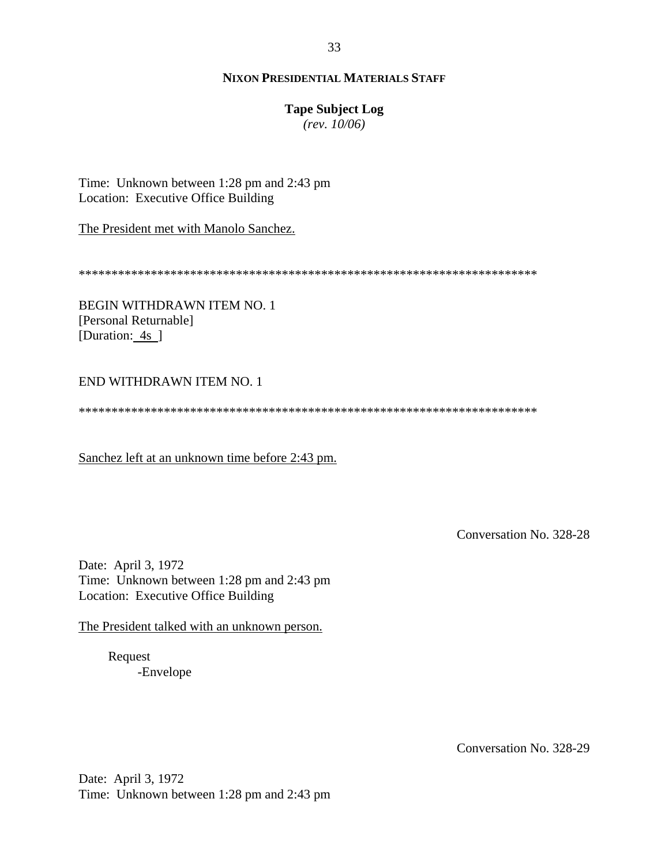## **Tape Subject Log**

*(rev. 10/06)*

Time: Unknown between 1:28 pm and 2:43 pm Location: Executive Office Building

The President met with Manolo Sanchez.

\*\*\*\*\*\*\*\*\*\*\*\*\*\*\*\*\*\*\*\*\*\*\*\*\*\*\*\*\*\*\*\*\*\*\*\*\*\*\*\*\*\*\*\*\*\*\*\*\*\*\*\*\*\*\*\*\*\*\*\*\*\*\*\*\*\*\*\*\*\*

BEGIN WITHDRAWN ITEM NO. 1 [Personal Returnable] [Duration: 4s ]

## END WITHDRAWN ITEM NO. 1

\*\*\*\*\*\*\*\*\*\*\*\*\*\*\*\*\*\*\*\*\*\*\*\*\*\*\*\*\*\*\*\*\*\*\*\*\*\*\*\*\*\*\*\*\*\*\*\*\*\*\*\*\*\*\*\*\*\*\*\*\*\*\*\*\*\*\*\*\*\*

Sanchez left at an unknown time before 2:43 pm.

Conversation No. 328-28

Date: April 3, 1972 Time: Unknown between 1:28 pm and 2:43 pm Location: Executive Office Building

The President talked with an unknown person.

 Request -Envelope

Conversation No. 328-29

Date: April 3, 1972 Time: Unknown between 1:28 pm and 2:43 pm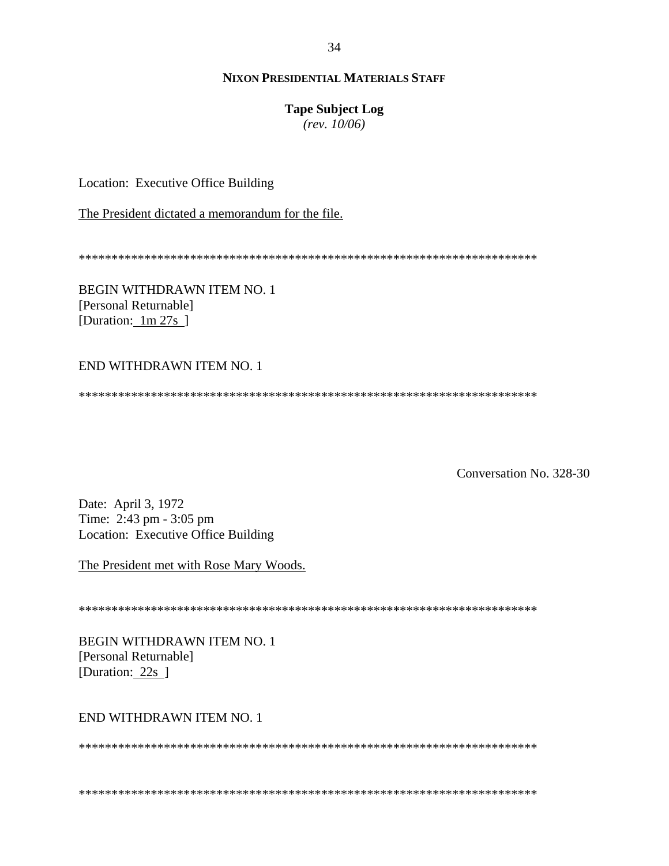#### **Tape Subject Log**

 $(rev. 10/06)$ 

Location: Executive Office Building

The President dictated a memorandum for the file.

**BEGIN WITHDRAWN ITEM NO. 1** [Personal Returnable] [Duration:  $1m 27s$ ]

## END WITHDRAWN ITEM NO. 1

Conversation No. 328-30

Date: April 3, 1972 Time: 2:43 pm - 3:05 pm Location: Executive Office Building

The President met with Rose Mary Woods.

**BEGIN WITHDRAWN ITEM NO. 1** [Personal Returnable] [Duration: 22s ]

# END WITHDRAWN ITEM NO. 1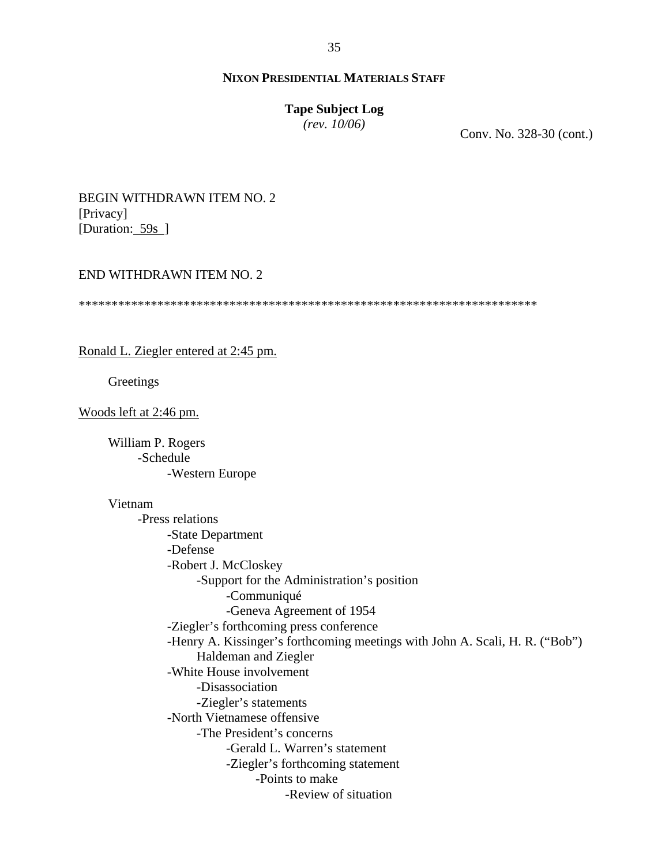#### **Tape Subject Log**

*(rev. 10/06)*

Conv. No. 328-30 (cont.)

## BEGIN WITHDRAWN ITEM NO. 2 [Privacy] [Duration: 59s ]

#### END WITHDRAWN ITEM NO. 2

\*\*\*\*\*\*\*\*\*\*\*\*\*\*\*\*\*\*\*\*\*\*\*\*\*\*\*\*\*\*\*\*\*\*\*\*\*\*\*\*\*\*\*\*\*\*\*\*\*\*\*\*\*\*\*\*\*\*\*\*\*\*\*\*\*\*\*\*\*\*

Ronald L. Ziegler entered at 2:45 pm.

Greetings

Woods left at 2:46 pm.

 William P. Rogers -Schedule -Western Europe

#### Vietnam

-Press relations -State Department -Defense -Robert J. McCloskey -Support for the Administration's position -Communiqué -Geneva Agreement of 1954 -Ziegler's forthcoming press conference -Henry A. Kissinger's forthcoming meetings with John A. Scali, H. R. ("Bob") Haldeman and Ziegler -White House involvement -Disassociation -Ziegler's statements -North Vietnamese offensive -The President's concerns -Gerald L. Warren's statement -Ziegler's forthcoming statement -Points to make -Review of situation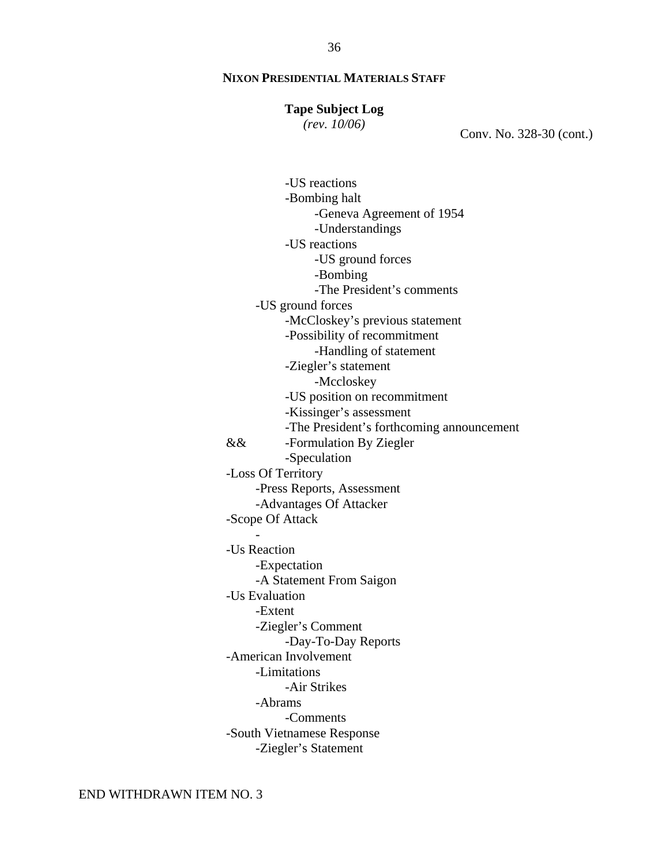#### **Tape Subject Log**

*(rev. 10/06)*

Conv. No. 328-30 (cont.)

 -US reactions -Bombing halt -Geneva Agreement of 1954 -Understandings -US reactions -US ground forces -Bombing -The President's comments -US ground forces -McCloskey's previous statement -Possibility of recommitment -Handling of statement -Ziegler's statement -Mccloskey -US position on recommitment -Kissinger's assessment -The President's forthcoming announcement && -Formulation By Ziegler -Speculation -Loss Of Territory -Press Reports, Assessment -Advantages Of Attacker -Scope Of Attack  $\sim$  -  $\sim$   $\sim$   $\sim$  -Us Reaction -Expectation -A Statement From Saigon -Us Evaluation -Extent -Ziegler's Comment -Day-To-Day Reports -American Involvement -Limitations -Air Strikes -Abrams -Comments -South Vietnamese Response -Ziegler's Statement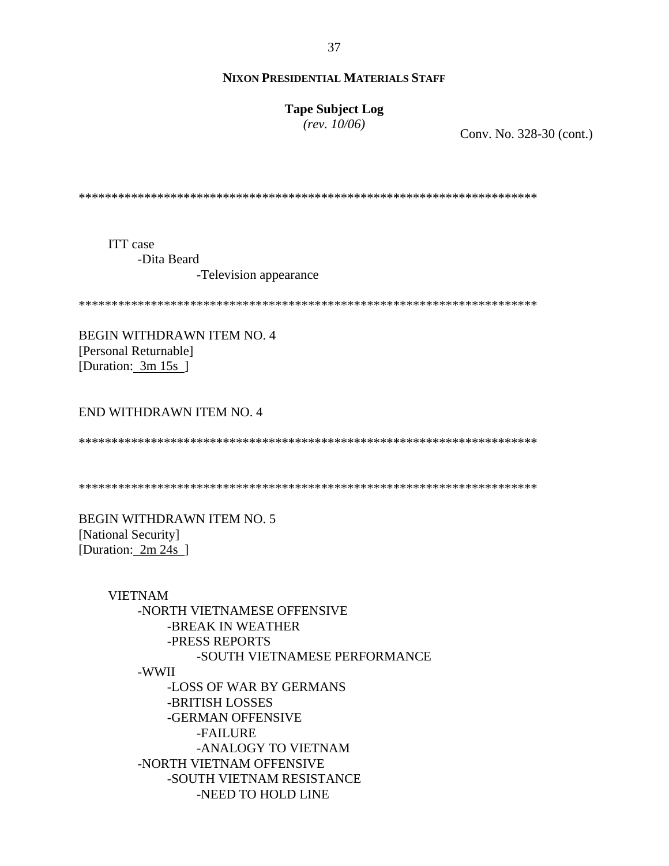37

#### **NIXON PRESIDENTIAL MATERIALS STAFF**

**Tape Subject Log** 

 $(rev. 10/06)$ 

Conv. No. 328-30 (cont.)

**ITT** case -Dita Beard -Television appearance

BEGIN WITHDRAWN ITEM NO. 4 [Personal Returnable] [Duration:  $3m 15s$ ]

#### END WITHDRAWN ITEM NO. 4

**BEGIN WITHDRAWN ITEM NO. 5** [National Security] [Duration: 2m 24s ]

> **VIETNAM** -NORTH VIETNAMESE OFFENSIVE -BREAK IN WEATHER -PRESS REPORTS -SOUTH VIETNAMESE PERFORMANCE -WWII -LOSS OF WAR BY GERMANS -BRITISH LOSSES -GERMAN OFFENSIVE -FAILURE -ANALOGY TO VIETNAM -NORTH VIETNAM OFFENSIVE -SOUTH VIETNAM RESISTANCE -NEED TO HOLD LINE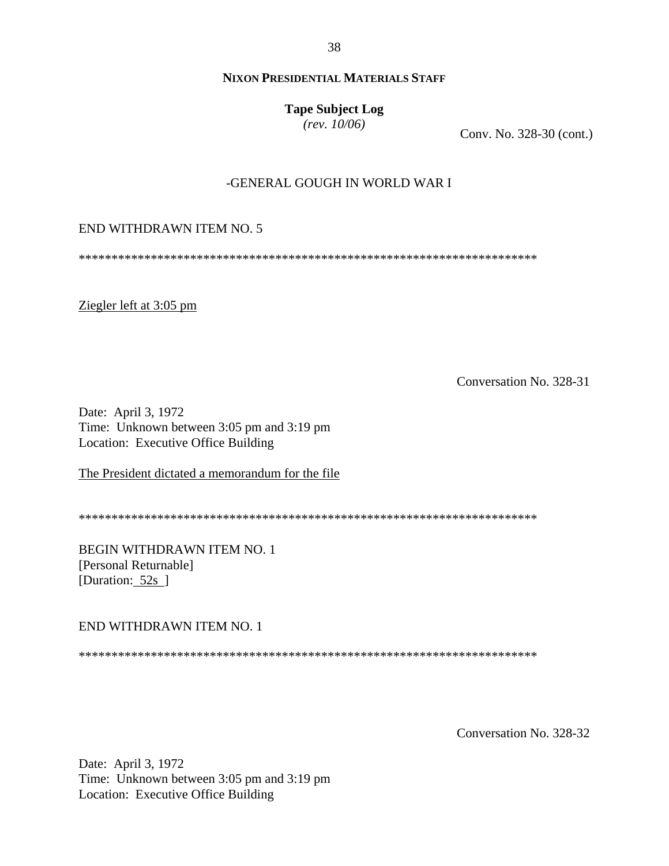38

## **NIXON PRESIDENTIAL MATERIALS STAFF**

**Tape Subject Log** 

 $(rev. 10/06)$ 

Conv. No. 328-30 (cont.)

## -GENERAL GOUGH IN WORLD WAR I

#### END WITHDRAWN ITEM NO. 5

Ziegler left at 3:05 pm

Conversation No. 328-31

Date: April 3, 1972 Time: Unknown between 3:05 pm and 3:19 pm Location: Executive Office Building

The President dictated a memorandum for the file

BEGIN WITHDRAWN ITEM NO. 1 [Personal Returnable] [Duration:  $52s$ ]

END WITHDRAWN ITEM NO. 1

Conversation No. 328-32

Date: April 3, 1972 Time: Unknown between 3:05 pm and 3:19 pm Location: Executive Office Building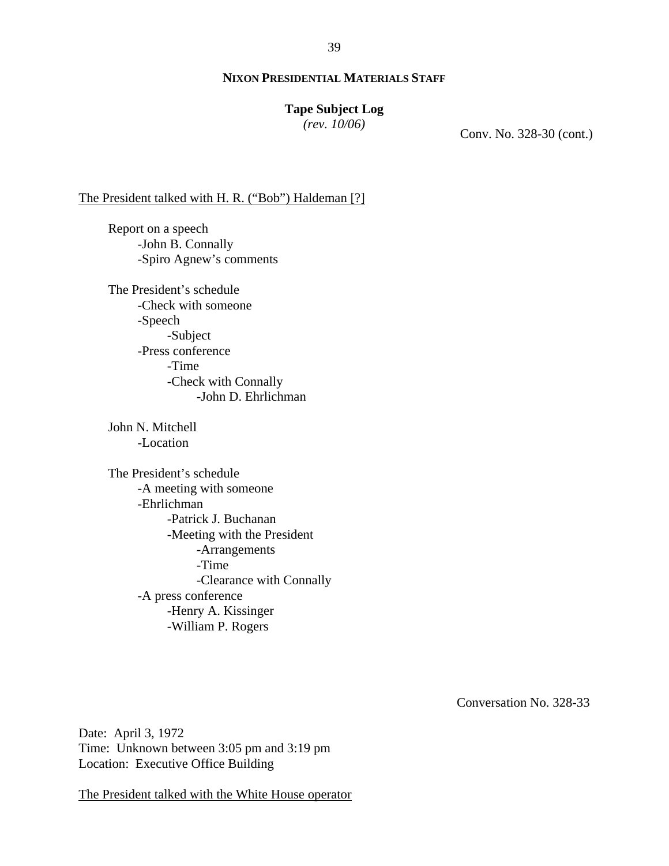## **Tape Subject Log**

*(rev. 10/06)*

Conv. No. 328-30 (cont.)

#### The President talked with H. R. ("Bob") Haldeman [?]

Report on a speech -John B. Connally -Spiro Agnew's comments

The President's schedule -Check with someone -Speech -Subject -Press conference -Time -Check with Connally -John D. Ehrlichman

John N. Mitchell -Location

The President's schedule -A meeting with someone -Ehrlichman -Patrick J. Buchanan -Meeting with the President -Arrangements -Time -Clearance with Connally -A press conference -Henry A. Kissinger -William P. Rogers

Conversation No. 328-33

Date: April 3, 1972 Time: Unknown between 3:05 pm and 3:19 pm Location: Executive Office Building

The President talked with the White House operator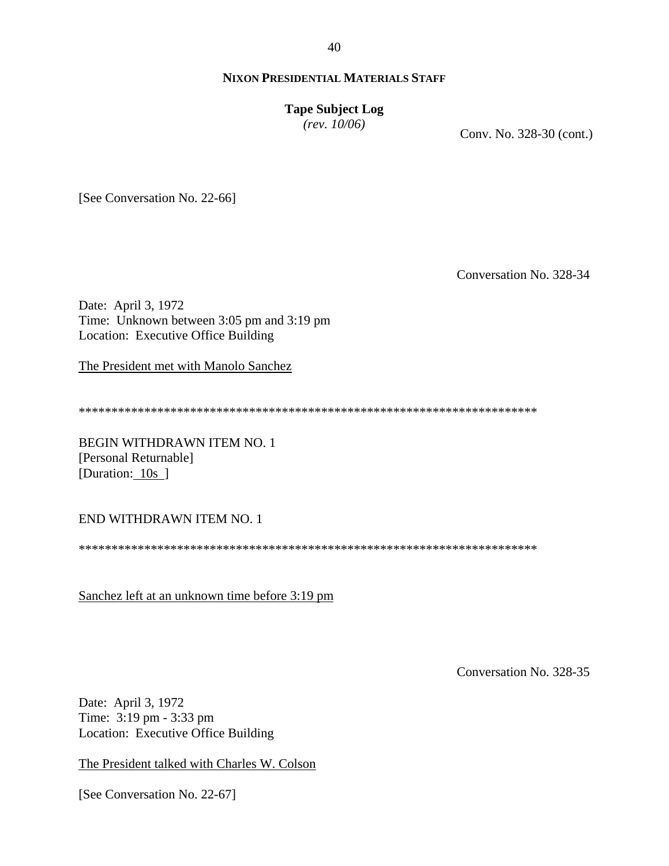40

## **NIXON PRESIDENTIAL MATERIALS STAFF**

#### **Tape Subject Log**

*(rev. 10/06)*

Conv. No. 328-30 (cont.)

[See Conversation No. 22-66]

Conversation No. 328-34

Date: April 3, 1972 Time: Unknown between 3:05 pm and 3:19 pm Location: Executive Office Building

The President met with Manolo Sanchez

\*\*\*\*\*\*\*\*\*\*\*\*\*\*\*\*\*\*\*\*\*\*\*\*\*\*\*\*\*\*\*\*\*\*\*\*\*\*\*\*\*\*\*\*\*\*\*\*\*\*\*\*\*\*\*\*\*\*\*\*\*\*\*\*\*\*\*\*\*\*

BEGIN WITHDRAWN ITEM NO. 1 [Personal Returnable] [Duration: 10s ]

END WITHDRAWN ITEM NO. 1

\*\*\*\*\*\*\*\*\*\*\*\*\*\*\*\*\*\*\*\*\*\*\*\*\*\*\*\*\*\*\*\*\*\*\*\*\*\*\*\*\*\*\*\*\*\*\*\*\*\*\*\*\*\*\*\*\*\*\*\*\*\*\*\*\*\*\*\*\*\*

Sanchez left at an unknown time before 3:19 pm

Conversation No. 328-35

Date: April 3, 1972 Time: 3:19 pm - 3:33 pm Location: Executive Office Building

The President talked with Charles W. Colson

[See Conversation No. 22-67]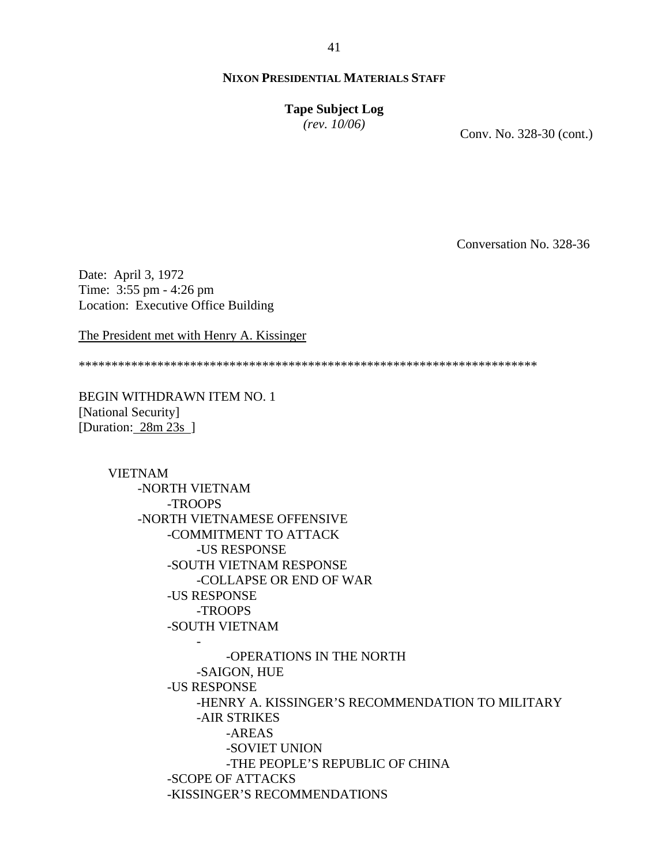# **Tape Subject Log**

*(rev. 10/06)*

Conv. No. 328-30 (cont.)

Conversation No. 328-36

Date: April 3, 1972 Time: 3:55 pm - 4:26 pm Location: Executive Office Building

The President met with Henry A. Kissinger

\*\*\*\*\*\*\*\*\*\*\*\*\*\*\*\*\*\*\*\*\*\*\*\*\*\*\*\*\*\*\*\*\*\*\*\*\*\*\*\*\*\*\*\*\*\*\*\*\*\*\*\*\*\*\*\*\*\*\*\*\*\*\*\*\*\*\*\*\*\*

BEGIN WITHDRAWN ITEM NO. 1 [National Security] [Duration: 28m 23s ]

> VIETNAM -NORTH VIETNAM -TROOPS -NORTH VIETNAMESE OFFENSIVE -COMMITMENT TO ATTACK -US RESPONSE -SOUTH VIETNAM RESPONSE -COLLAPSE OR END OF WAR -US RESPONSE -TROOPS -SOUTH VIETNAM - -OPERATIONS IN THE NORTH -SAIGON, HUE -US RESPONSE -HENRY A. KISSINGER'S RECOMMENDATION TO MILITARY -AIR STRIKES -AREAS -SOVIET UNION -THE PEOPLE'S REPUBLIC OF CHINA -SCOPE OF ATTACKS -KISSINGER'S RECOMMENDATIONS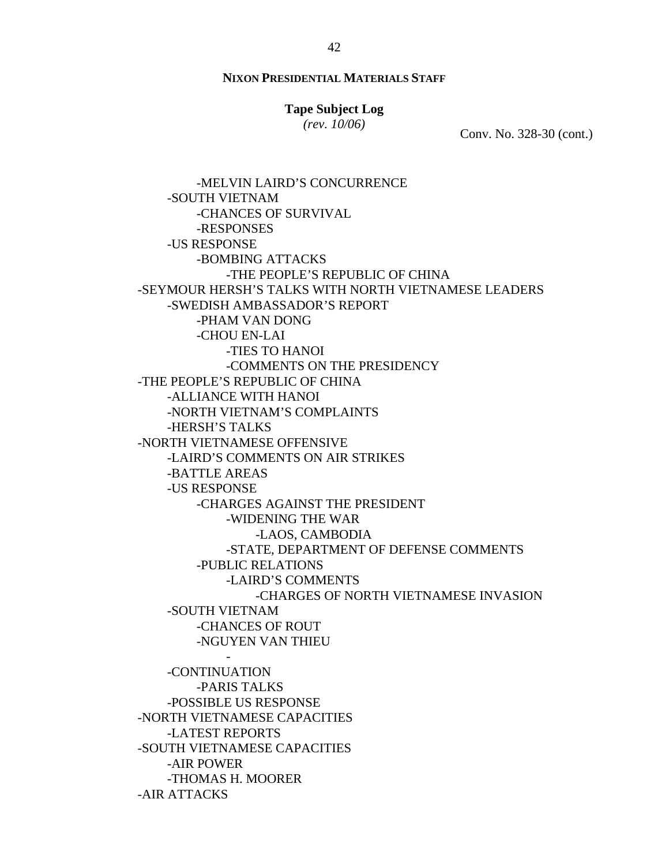## **Tape Subject Log**

*(rev. 10/06)*

Conv. No. 328-30 (cont.)

-MELVIN LAIRD'S CONCURRENCE -SOUTH VIETNAM -CHANCES OF SURVIVAL -RESPONSES -US RESPONSE -BOMBING ATTACKS -THE PEOPLE'S REPUBLIC OF CHINA -SEYMOUR HERSH'S TALKS WITH NORTH VIETNAMESE LEADERS -SWEDISH AMBASSADOR'S REPORT -PHAM VAN DONG -CHOU EN-LAI -TIES TO HANOI -COMMENTS ON THE PRESIDENCY -THE PEOPLE'S REPUBLIC OF CHINA -ALLIANCE WITH HANOI -NORTH VIETNAM'S COMPLAINTS -HERSH'S TALKS -NORTH VIETNAMESE OFFENSIVE -LAIRD'S COMMENTS ON AIR STRIKES -BATTLE AREAS -US RESPONSE -CHARGES AGAINST THE PRESIDENT -WIDENING THE WAR -LAOS, CAMBODIA -STATE, DEPARTMENT OF DEFENSE COMMENTS -PUBLIC RELATIONS -LAIRD'S COMMENTS -CHARGES OF NORTH VIETNAMESE INVASION -SOUTH VIETNAM -CHANCES OF ROUT -NGUYEN VAN THIEU - -CONTINUATION -PARIS TALKS -POSSIBLE US RESPONSE -NORTH VIETNAMESE CAPACITIES -LATEST REPORTS -SOUTH VIETNAMESE CAPACITIES -AIR POWER

-THOMAS H. MOORER

-AIR ATTACKS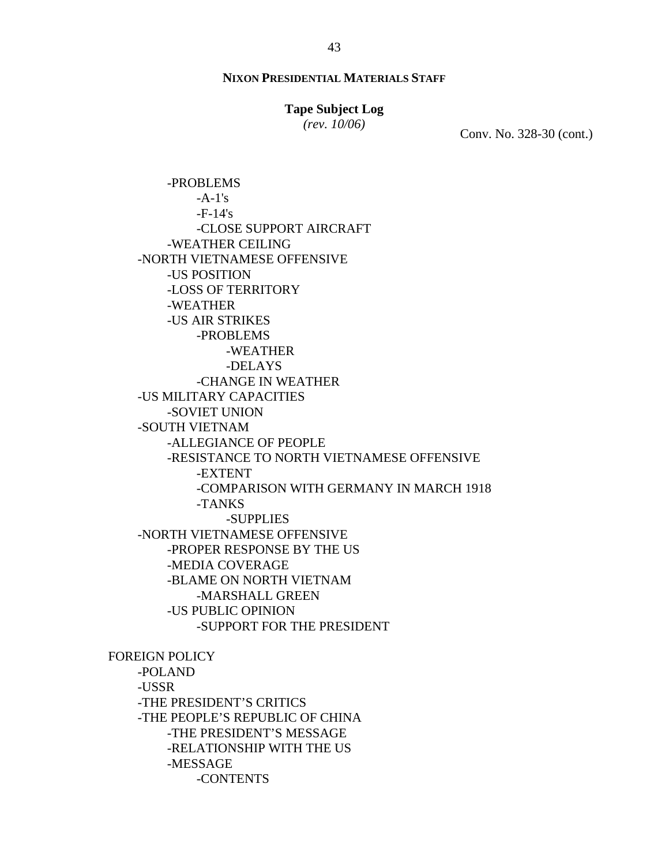#### **Tape Subject Log**

*(rev. 10/06)*

Conv. No. 328-30 (cont.)

-PROBLEMS  $-A-1's$  $-F-14's$ -CLOSE SUPPORT AIRCRAFT -WEATHER CEILING -NORTH VIETNAMESE OFFENSIVE -US POSITION -LOSS OF TERRITORY -WEATHER -US AIR STRIKES -PROBLEMS -WEATHER -DELAYS -CHANGE IN WEATHER -US MILITARY CAPACITIES -SOVIET UNION -SOUTH VIETNAM -ALLEGIANCE OF PEOPLE -RESISTANCE TO NORTH VIETNAMESE OFFENSIVE -EXTENT -COMPARISON WITH GERMANY IN MARCH 1918 -TANKS -SUPPLIES -NORTH VIETNAMESE OFFENSIVE -PROPER RESPONSE BY THE US -MEDIA COVERAGE -BLAME ON NORTH VIETNAM -MARSHALL GREEN -US PUBLIC OPINION -SUPPORT FOR THE PRESIDENT FOREIGN POLICY

-POLAND -USSR -THE PRESIDENT'S CRITICS -THE PEOPLE'S REPUBLIC OF CHINA -THE PRESIDENT'S MESSAGE -RELATIONSHIP WITH THE US -MESSAGE -CONTENTS